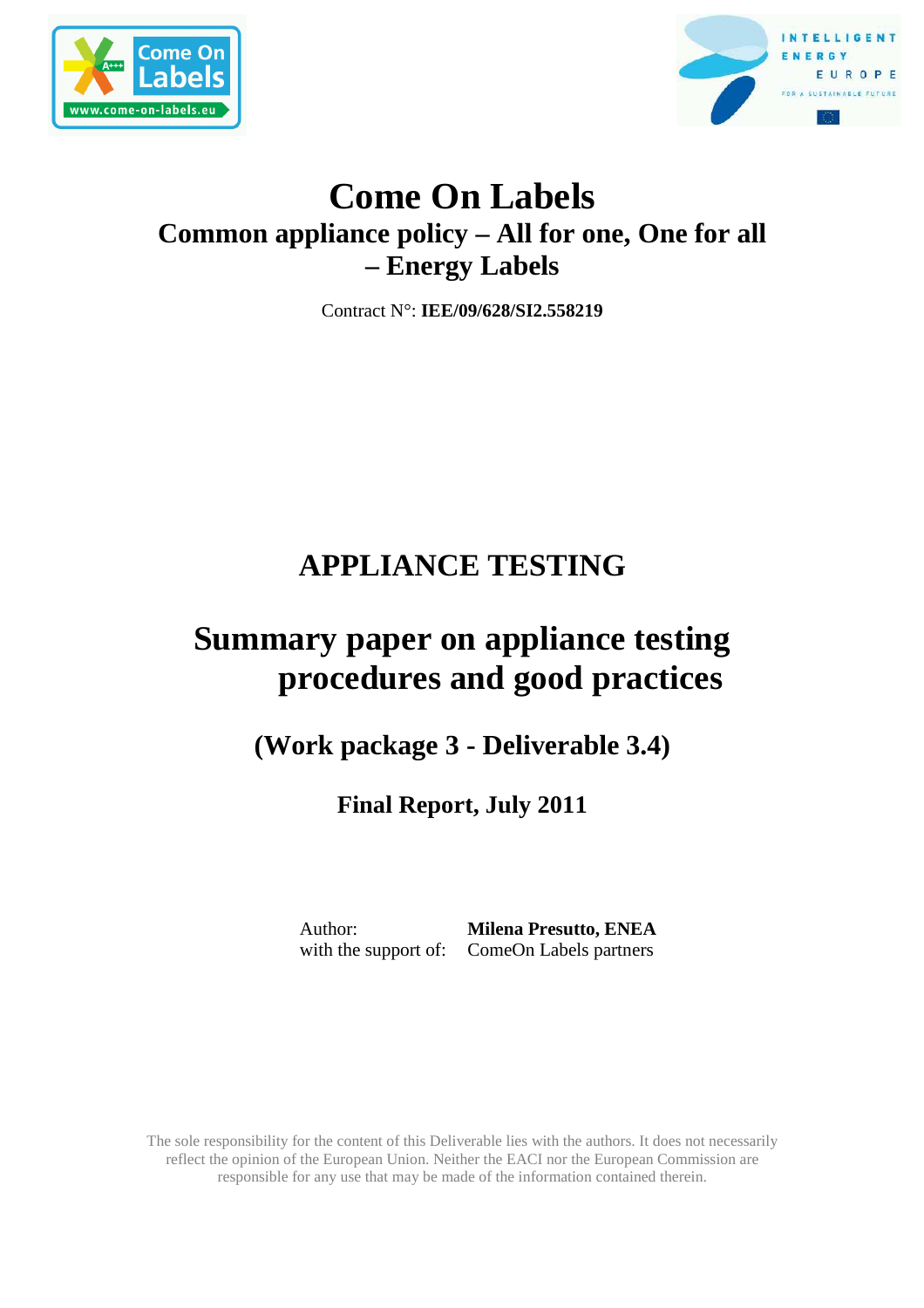



## **Come On Labels Common appliance policy – All for one, One for all – Energy Labels**

Contract N°: **IEE/09/628/SI2.558219**

# **APPLIANCE TESTING**

# **Summary paper on appliance testing procedures and good practices**

**(Work package 3 - Deliverable 3.4)** 

**Final Report, July 2011** 

Author: **Milena Presutto, ENEA**  with the support of: ComeOn Labels partners

The sole responsibility for the content of this Deliverable lies with the authors. It does not necessarily reflect the opinion of the European Union. Neither the EACI nor the European Commission are responsible for any use that may be made of the information contained therein.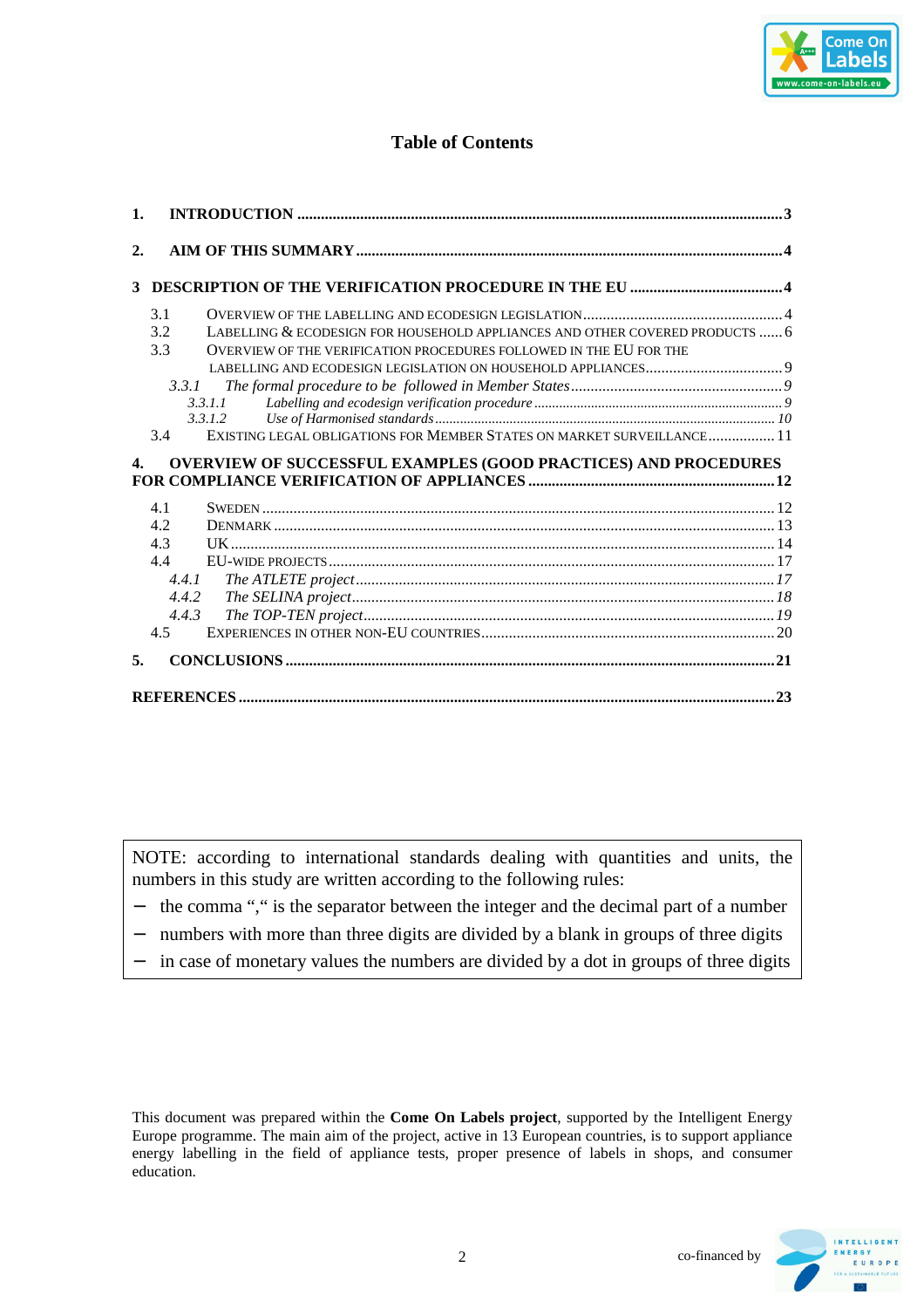

## **Table of Contents**

| $\mathbf{1}$ . |                                                                                                                                                                                                                                                                                                                                                                   |  |
|----------------|-------------------------------------------------------------------------------------------------------------------------------------------------------------------------------------------------------------------------------------------------------------------------------------------------------------------------------------------------------------------|--|
| 2.             |                                                                                                                                                                                                                                                                                                                                                                   |  |
| 3              |                                                                                                                                                                                                                                                                                                                                                                   |  |
| $\mathbf{4}$   | 3.1<br>3.2<br>LABELLING & ECODESIGN FOR HOUSEHOLD APPLIANCES AND OTHER COVERED PRODUCTS  6<br>3.3<br>OVERVIEW OF THE VERIFICATION PROCEDURES FOLLOWED IN THE EU FOR THE<br>3.3.1<br>3.3.1.1<br>3.3.1.2<br>EXISTING LEGAL OBLIGATIONS FOR MEMBER STATES ON MARKET SURVEILLANCE 11<br>3.4<br><b>OVERVIEW OF SUCCESSFUL EXAMPLES (GOOD PRACTICES) AND PROCEDURES</b> |  |
|                | 4.1                                                                                                                                                                                                                                                                                                                                                               |  |
|                | 4.2                                                                                                                                                                                                                                                                                                                                                               |  |
|                | 4.3                                                                                                                                                                                                                                                                                                                                                               |  |
|                | 4.4                                                                                                                                                                                                                                                                                                                                                               |  |
|                | 4.4.1                                                                                                                                                                                                                                                                                                                                                             |  |
|                | 4.4.2                                                                                                                                                                                                                                                                                                                                                             |  |
|                | 4.4.3                                                                                                                                                                                                                                                                                                                                                             |  |
|                | 4.5                                                                                                                                                                                                                                                                                                                                                               |  |
| 5.             |                                                                                                                                                                                                                                                                                                                                                                   |  |
|                |                                                                                                                                                                                                                                                                                                                                                                   |  |

NOTE: according to international standards dealing with quantities and units, the numbers in this study are written according to the following rules:

- the comma "," is the separator between the integer and the decimal part of a number
- − numbers with more than three digits are divided by a blank in groups of three digits
- in case of monetary values the numbers are divided by a dot in groups of three digits

This document was prepared within the **Come On Labels project**, supported by the Intelligent Energy Europe programme. The main aim of the project, active in 13 European countries, is to support appliance energy labelling in the field of appliance tests, proper presence of labels in shops, and consumer education.

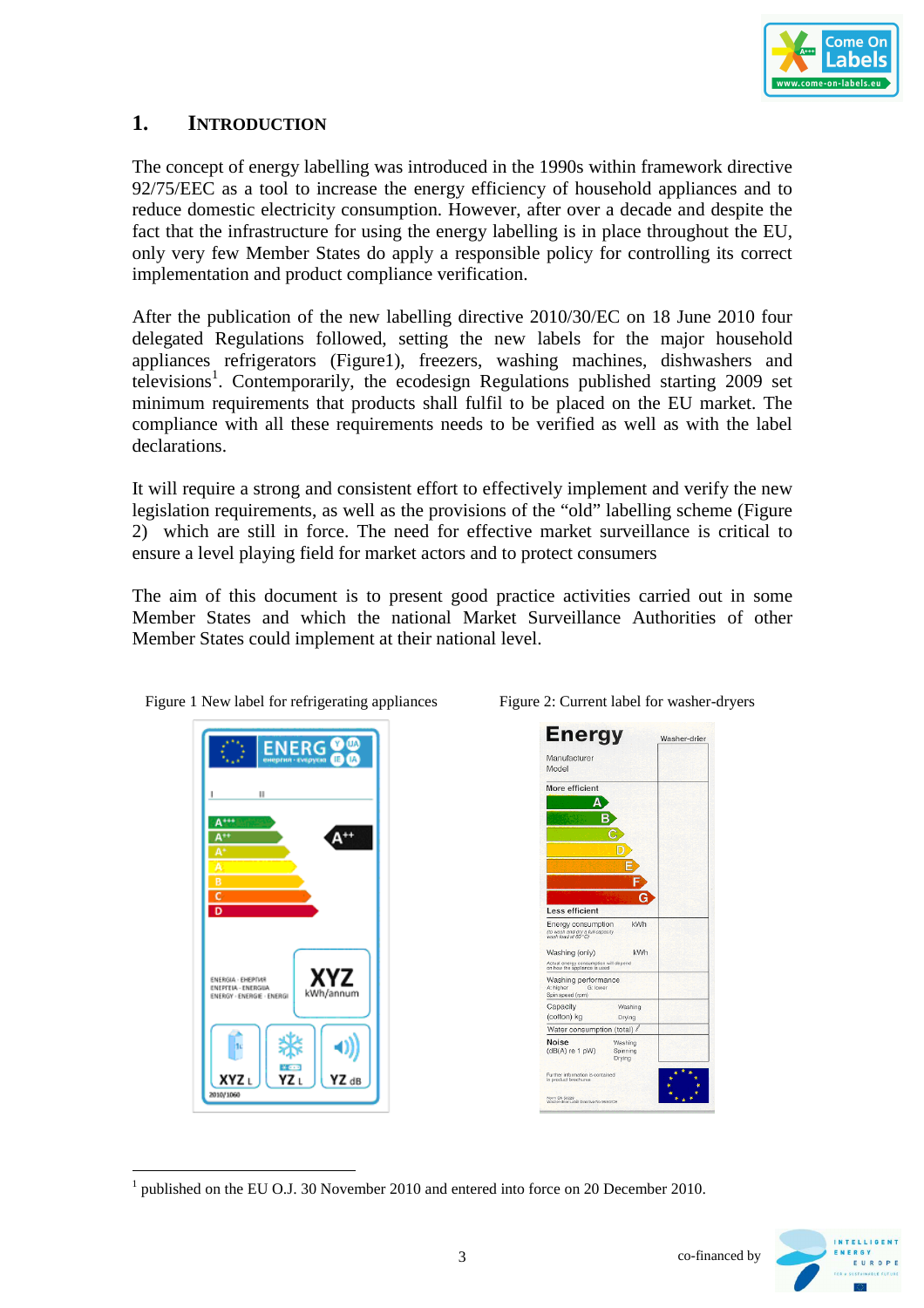

## **1. INTRODUCTION**

The concept of energy labelling was introduced in the 1990s within framework directive 92/75/EEC as a tool to increase the energy efficiency of household appliances and to reduce domestic electricity consumption. However, after over a decade and despite the fact that the infrastructure for using the energy labelling is in place throughout the EU, only very few Member States do apply a responsible policy for controlling its correct implementation and product compliance verification.

After the publication of the new labelling directive 2010/30/EC on 18 June 2010 four delegated Regulations followed, setting the new labels for the major household appliances refrigerators (Figure1), freezers, washing machines, dishwashers and televisions<sup>1</sup>. Contemporarily, the ecodesign Regulations published starting 2009 set minimum requirements that products shall fulfil to be placed on the EU market. The compliance with all these requirements needs to be verified as well as with the label declarations.

It will require a strong and consistent effort to effectively implement and verify the new legislation requirements, as well as the provisions of the "old" labelling scheme (Figure 2) which are still in force. The need for effective market surveillance is critical to ensure a level playing field for market actors and to protect consumers

The aim of this document is to present good practice activities carried out in some Member States and which the national Market Surveillance Authorities of other Member States could implement at their national level.



 $\overline{a}$ 

Figure 1 New label for refrigerating appliances Figure 2: Current label for washer-dryers



<sup>1</sup> published on the EU O.J. 30 November 2010 and entered into force on 20 December 2010.

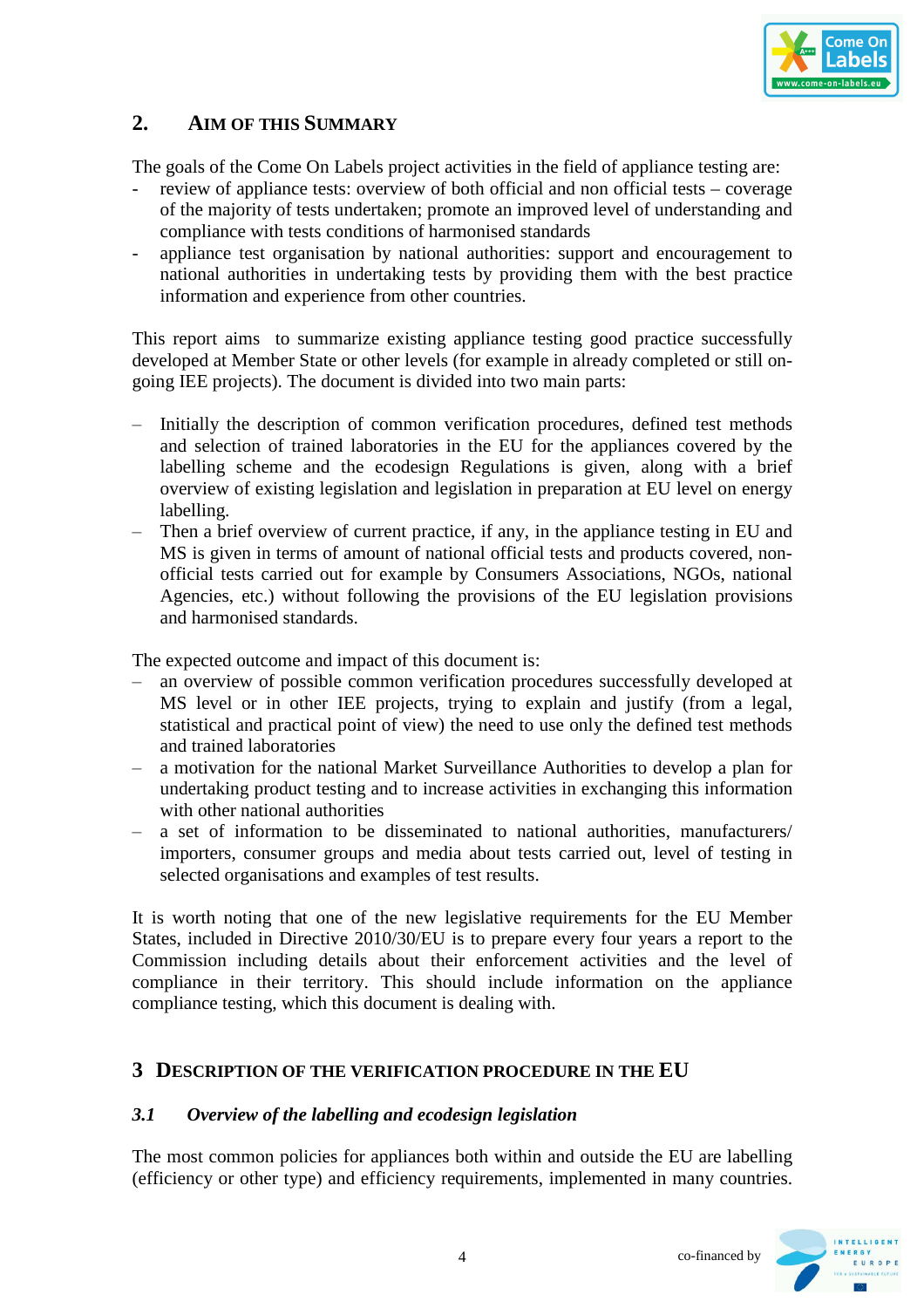

## **2. AIM OF THIS SUMMARY**

The goals of the Come On Labels project activities in the field of appliance testing are:

- review of appliance tests: overview of both official and non official tests coverage of the majority of tests undertaken; promote an improved level of understanding and compliance with tests conditions of harmonised standards
- appliance test organisation by national authorities: support and encouragement to national authorities in undertaking tests by providing them with the best practice information and experience from other countries.

This report aims to summarize existing appliance testing good practice successfully developed at Member State or other levels (for example in already completed or still ongoing IEE projects). The document is divided into two main parts:

- ‒ Initially the description of common verification procedures, defined test methods and selection of trained laboratories in the EU for the appliances covered by the labelling scheme and the ecodesign Regulations is given, along with a brief overview of existing legislation and legislation in preparation at EU level on energy labelling.
- ‒ Then a brief overview of current practice, if any, in the appliance testing in EU and MS is given in terms of amount of national official tests and products covered, nonofficial tests carried out for example by Consumers Associations, NGOs, national Agencies, etc.) without following the provisions of the EU legislation provisions and harmonised standards.

The expected outcome and impact of this document is:

- an overview of possible common verification procedures successfully developed at MS level or in other IEE projects, trying to explain and justify (from a legal, statistical and practical point of view) the need to use only the defined test methods and trained laboratories
- ‒ a motivation for the national Market Surveillance Authorities to develop a plan for undertaking product testing and to increase activities in exchanging this information with other national authorities
- ‒ a set of information to be disseminated to national authorities, manufacturers/ importers, consumer groups and media about tests carried out, level of testing in selected organisations and examples of test results.

It is worth noting that one of the new legislative requirements for the EU Member States, included in Directive 2010/30/EU is to prepare every four years a report to the Commission including details about their enforcement activities and the level of compliance in their territory. This should include information on the appliance compliance testing, which this document is dealing with.

## **3 DESCRIPTION OF THE VERIFICATION PROCEDURE IN THE EU**

#### *3.1 Overview of the labelling and ecodesign legislation*

The most common policies for appliances both within and outside the EU are labelling (efficiency or other type) and efficiency requirements, implemented in many countries.

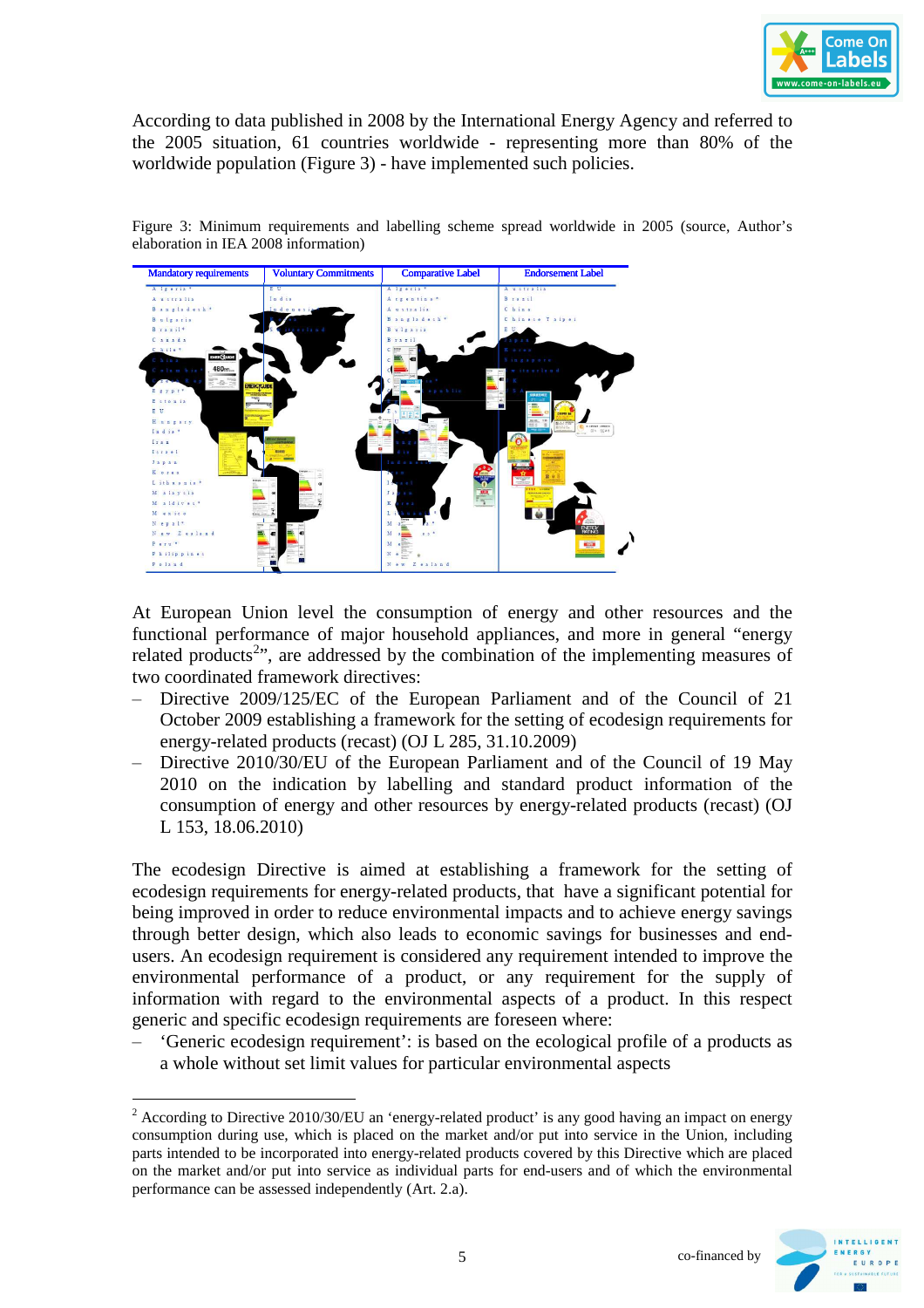

According to data published in 2008 by the International Energy Agency and referred to the 2005 situation, 61 countries worldwide - representing more than 80% of the worldwide population (Figure 3) - have implemented such policies.





At European Union level the consumption of energy and other resources and the functional performance of major household appliances, and more in general "energy related products<sup>2</sup>", are addressed by the combination of the implementing measures of two coordinated framework directives:

- ‒ Directive 2009/125/EC of the European Parliament and of the Council of 21 October 2009 establishing a framework for the setting of ecodesign requirements for energy-related products (recast) (OJ L 285, 31.10.2009)
- ‒ Directive 2010/30/EU of the European Parliament and of the Council of 19 May 2010 on the indication by labelling and standard product information of the consumption of energy and other resources by energy-related products (recast) (OJ L 153, 18.06.2010)

The ecodesign Directive is aimed at establishing a framework for the setting of ecodesign requirements for energy-related products, that have a significant potential for being improved in order to reduce environmental impacts and to achieve energy savings through better design, which also leads to economic savings for businesses and endusers. An ecodesign requirement is considered any requirement intended to improve the environmental performance of a product, or any requirement for the supply of information with regard to the environmental aspects of a product. In this respect generic and specific ecodesign requirements are foreseen where:

‒ 'Generic ecodesign requirement': is based on the ecological profile of a products as a whole without set limit values for particular environmental aspects

 $\overline{a}$ <sup>2</sup> According to Directive 2010/30/EU an 'energy-related product' is any good having an impact on energy consumption during use, which is placed on the market and/or put into service in the Union, including parts intended to be incorporated into energy-related products covered by this Directive which are placed on the market and/or put into service as individual parts for end-users and of which the environmental performance can be assessed independently (Art. 2.a).

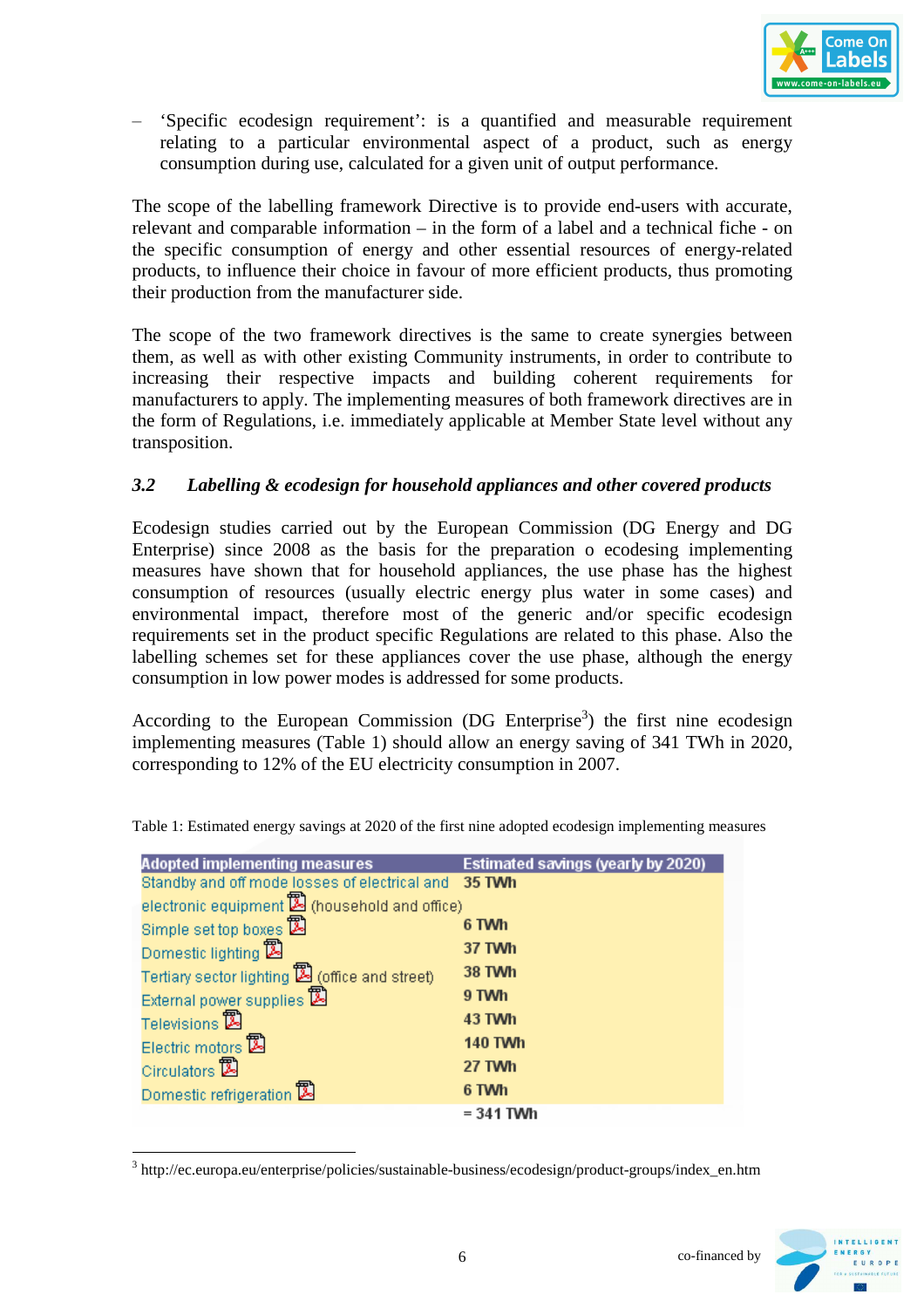

‒ 'Specific ecodesign requirement': is a quantified and measurable requirement relating to a particular environmental aspect of a product, such as energy consumption during use, calculated for a given unit of output performance.

The scope of the labelling framework Directive is to provide end-users with accurate, relevant and comparable information – in the form of a label and a technical fiche - on the specific consumption of energy and other essential resources of energy-related products, to influence their choice in favour of more efficient products, thus promoting their production from the manufacturer side.

The scope of the two framework directives is the same to create synergies between them, as well as with other existing Community instruments, in order to contribute to increasing their respective impacts and building coherent requirements for manufacturers to apply. The implementing measures of both framework directives are in the form of Regulations, i.e. immediately applicable at Member State level without any transposition.

## *3.2 Labelling & ecodesign for household appliances and other covered products*

Ecodesign studies carried out by the European Commission (DG Energy and DG Enterprise) since 2008 as the basis for the preparation o ecodesing implementing measures have shown that for household appliances, the use phase has the highest consumption of resources (usually electric energy plus water in some cases) and environmental impact, therefore most of the generic and/or specific ecodesign requirements set in the product specific Regulations are related to this phase. Also the labelling schemes set for these appliances cover the use phase, although the energy consumption in low power modes is addressed for some products.

According to the European Commission (DG Enterprise<sup>3</sup>) the first nine ecodesign implementing measures (Table 1) should allow an energy saving of 341 TWh in 2020, corresponding to 12% of the EU electricity consumption in 2007.

| <b>Adopted implementing measures</b>                    | Estimated savings (yearly by 2020) |
|---------------------------------------------------------|------------------------------------|
| Standby and off mode losses of electrical and 35 TWh    |                                    |
| electronic equipment <b>[2</b> ] (household and office) |                                    |
| Simple set top boxes                                    | 6 TWh                              |
| Domestic lighting 2                                     | 37 TWh                             |
| Tertiary sector lighting 2 (office and street)          | <b>38 TWh</b>                      |
| External power supplies $\mathbb{Z}$                    | 9 TWh                              |
| Televisions $\mathbb{\mathbb{Z}}$                       | 43 TWh                             |
| Electric motors <sup>12</sup>                           | <b>140 TWh</b>                     |
| Circulators <sup>12</sup>                               | 27 TWh                             |
| Domestic refrigeration [3]                              | 6 TWh                              |
|                                                         | = 341 TWh                          |

Table 1: Estimated energy savings at 2020 of the first nine adopted ecodesign implementing measures

 $\overline{a}$ 



<sup>&</sup>lt;sup>3</sup> http://ec.europa.eu/enterprise/policies/sustainable-business/ecodesign/product-groups/index\_en.htm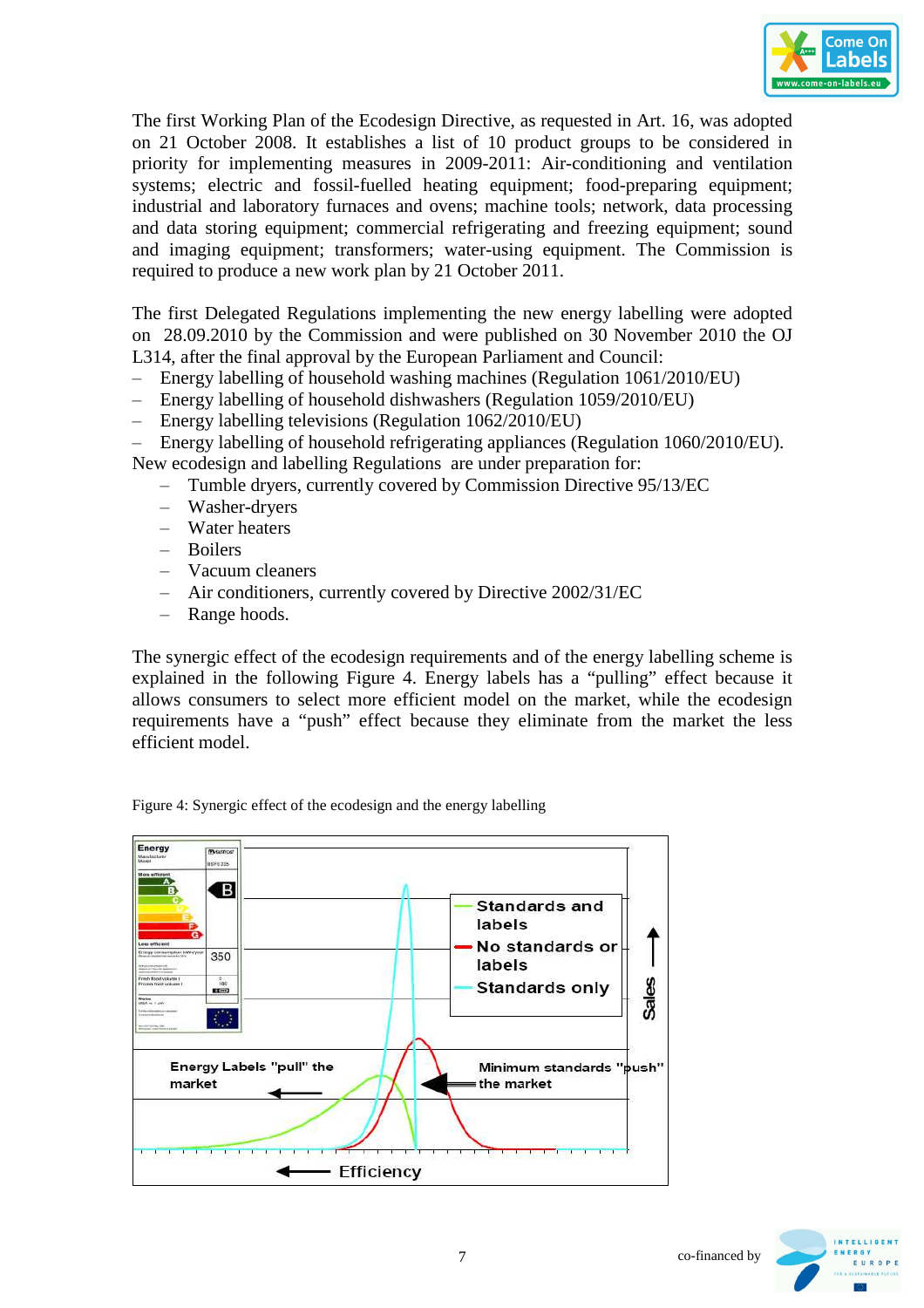

The first Working Plan of the Ecodesign Directive, as requested in Art. 16, was adopted on 21 October 2008. It establishes a list of 10 product groups to be considered in priority for implementing measures in 2009-2011: Air-conditioning and ventilation systems; electric and fossil-fuelled heating equipment; food-preparing equipment; industrial and laboratory furnaces and ovens; machine tools; network, data processing and data storing equipment; commercial refrigerating and freezing equipment; sound and imaging equipment; transformers; water-using equipment. The Commission is required to produce a new work plan by 21 October 2011.

The first Delegated Regulations implementing the new energy labelling were adopted on 28.09.2010 by the Commission and were published on 30 November 2010 the OJ L314, after the final approval by the European Parliament and Council:

- ‒ Energy labelling of household washing machines (Regulation 1061/2010/EU)
- ‒ Energy labelling of household dishwashers (Regulation 1059/2010/EU)
- ‒ Energy labelling televisions (Regulation 1062/2010/EU)
- ‒ Energy labelling of household refrigerating appliances (Regulation 1060/2010/EU). New ecodesign and labelling Regulations are under preparation for:
	- ‒ Tumble dryers, currently covered by Commission Directive 95/13/EC
	- ‒ Washer-dryers
	- ‒ Water heaters
	- ‒ Boilers
	- ‒ Vacuum cleaners
	- ‒ Air conditioners, currently covered by Directive 2002/31/EC
	- Range hoods.

The synergic effect of the ecodesign requirements and of the energy labelling scheme is explained in the following Figure 4. Energy labels has a "pulling" effect because it allows consumers to select more efficient model on the market, while the ecodesign requirements have a "push" effect because they eliminate from the market the less efficient model.

Figure 4: Synergic effect of the ecodesign and the energy labelling



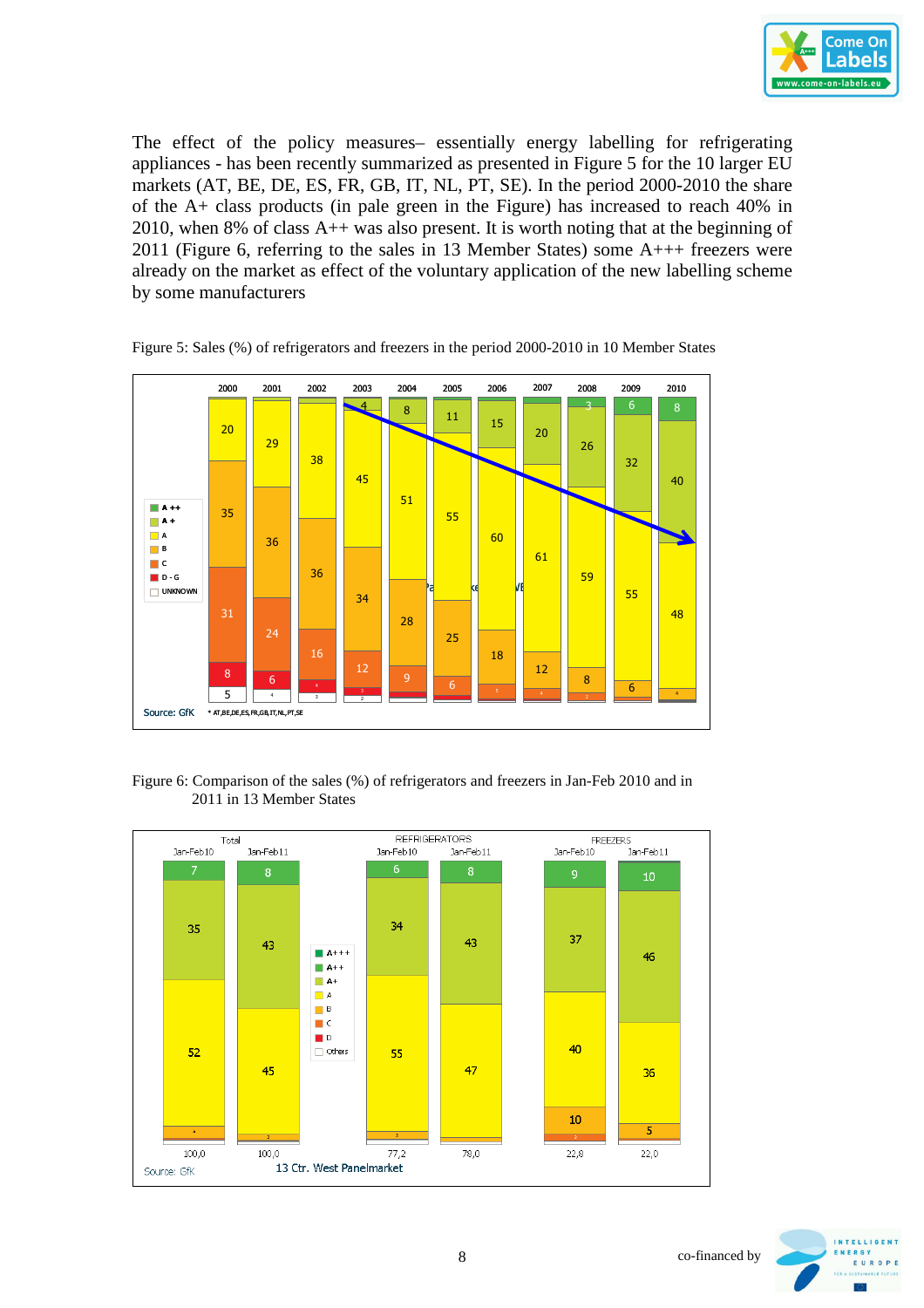

The effect of the policy measures– essentially energy labelling for refrigerating appliances - has been recently summarized as presented in Figure 5 for the 10 larger EU markets (AT, BE, DE, ES, FR, GB, IT, NL, PT, SE). In the period 2000-2010 the share of the A+ class products (in pale green in the Figure) has increased to reach 40% in 2010, when 8% of class A++ was also present. It is worth noting that at the beginning of 2011 (Figure 6, referring to the sales in 13 Member States) some A+++ freezers were already on the market as effect of the voluntary application of the new labelling scheme by some manufacturers





Figure 6: Comparison of the sales (%) of refrigerators and freezers in Jan-Feb 2010 and in 2011 in 13 Member States



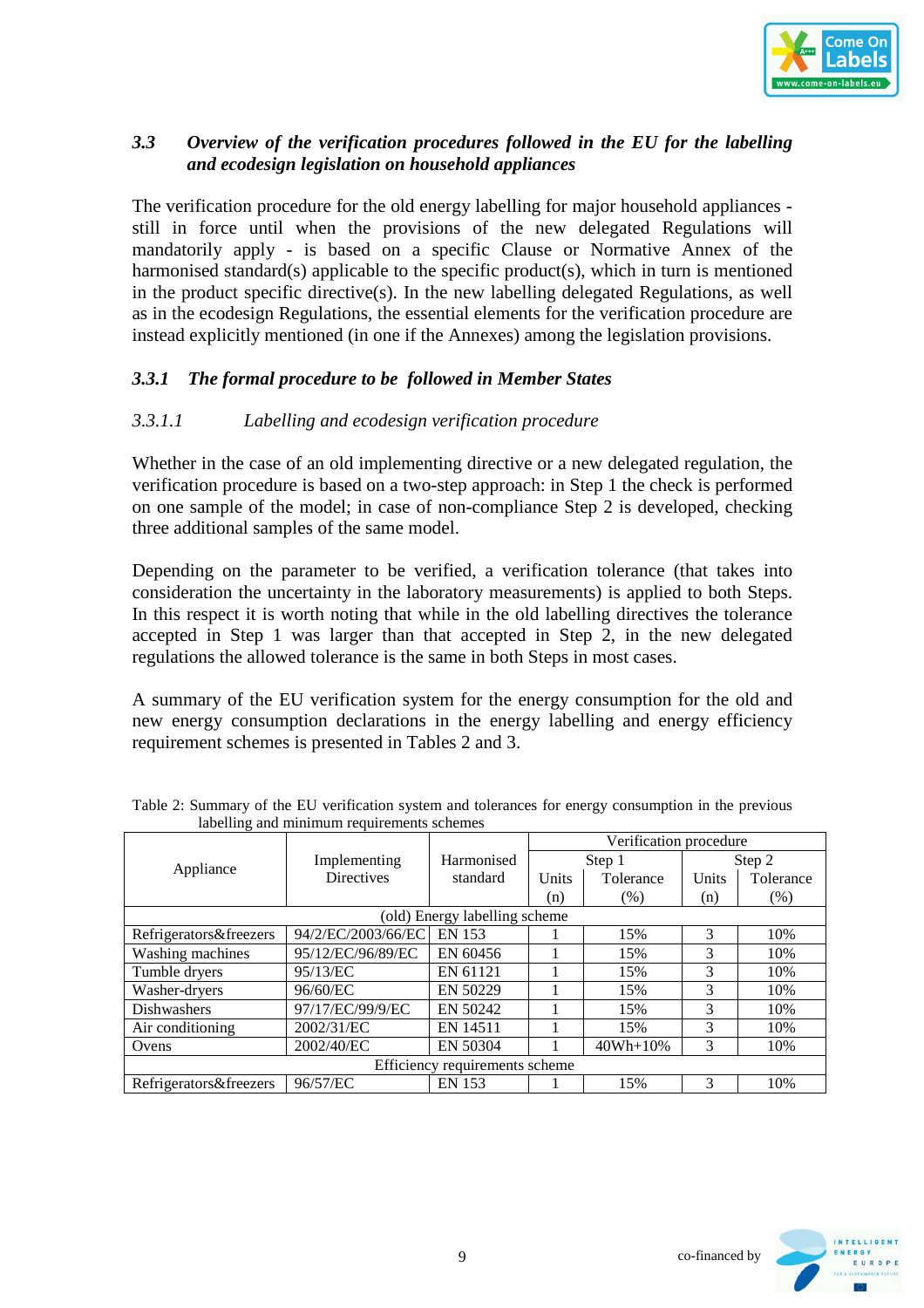

## *3.3 Overview of the verification procedures followed in the EU for the labelling and ecodesign legislation on household appliances*

The verification procedure for the old energy labelling for major household appliances still in force until when the provisions of the new delegated Regulations will mandatorily apply - is based on a specific Clause or Normative Annex of the harmonised standard(s) applicable to the specific product(s), which in turn is mentioned in the product specific directive(s). In the new labelling delegated Regulations, as well as in the ecodesign Regulations, the essential elements for the verification procedure are instead explicitly mentioned (in one if the Annexes) among the legislation provisions.

## *3.3.1 The formal procedure to be followed in Member States*

## *3.3.1.1 Labelling and ecodesign verification procedure*

Whether in the case of an old implementing directive or a new delegated regulation, the verification procedure is based on a two-step approach: in Step 1 the check is performed on one sample of the model; in case of non-compliance Step 2 is developed, checking three additional samples of the same model.

Depending on the parameter to be verified, a verification tolerance (that takes into consideration the uncertainty in the laboratory measurements) is applied to both Steps. In this respect it is worth noting that while in the old labelling directives the tolerance accepted in Step 1 was larger than that accepted in Step 2, in the new delegated regulations the allowed tolerance is the same in both Steps in most cases.

A summary of the EU verification system for the energy consumption for the old and new energy consumption declarations in the energy labelling and energy efficiency requirement schemes is presented in Tables 2 and 3.

|                                |                    |                               | Verification procedure |              |        |           |  |
|--------------------------------|--------------------|-------------------------------|------------------------|--------------|--------|-----------|--|
| Appliance                      | Implementing       | Harmonised<br>standard        |                        | Step 1       | Step 2 |           |  |
|                                | <b>Directives</b>  |                               | Units                  | Tolerance    | Units  | Tolerance |  |
|                                |                    |                               | (n)                    | (% )         | (n)    | (%)       |  |
|                                |                    | (old) Energy labelling scheme |                        |              |        |           |  |
| Refrigerators&freezers         | 94/2/EC/2003/66/EC | EN 153                        |                        | 15%          | 3      | 10%       |  |
| Washing machines               | 95/12/EC/96/89/EC  | EN 60456                      | 15%                    |              | 3      | 10%       |  |
| Tumble dryers                  | 95/13/EC           | EN 61121                      |                        | 15%          | 3      | 10%       |  |
| Washer-dryers                  | 96/60/EC           | EN 50229                      | 15%                    |              | 3      | 10%       |  |
| <b>Dishwashers</b>             | 97/17/EC/99/9/EC   | EN 50242                      | 15%                    |              | 3      | 10%       |  |
| Air conditioning               | 2002/31/EC         | EN 14511                      |                        | 15%          | 3      | 10%       |  |
| 2002/40/EC<br>Ovens            |                    | EN 50304                      |                        | $40Wh + 10%$ | 3      | 10%       |  |
| Efficiency requirements scheme |                    |                               |                        |              |        |           |  |
| Refrigerators&freezers         | 96/57/EC           | EN 153                        | 15%                    |              | 3      | 10%       |  |

Table 2: Summary of the EU verification system and tolerances for energy consumption in the previous labelling and minimum requirements schemes

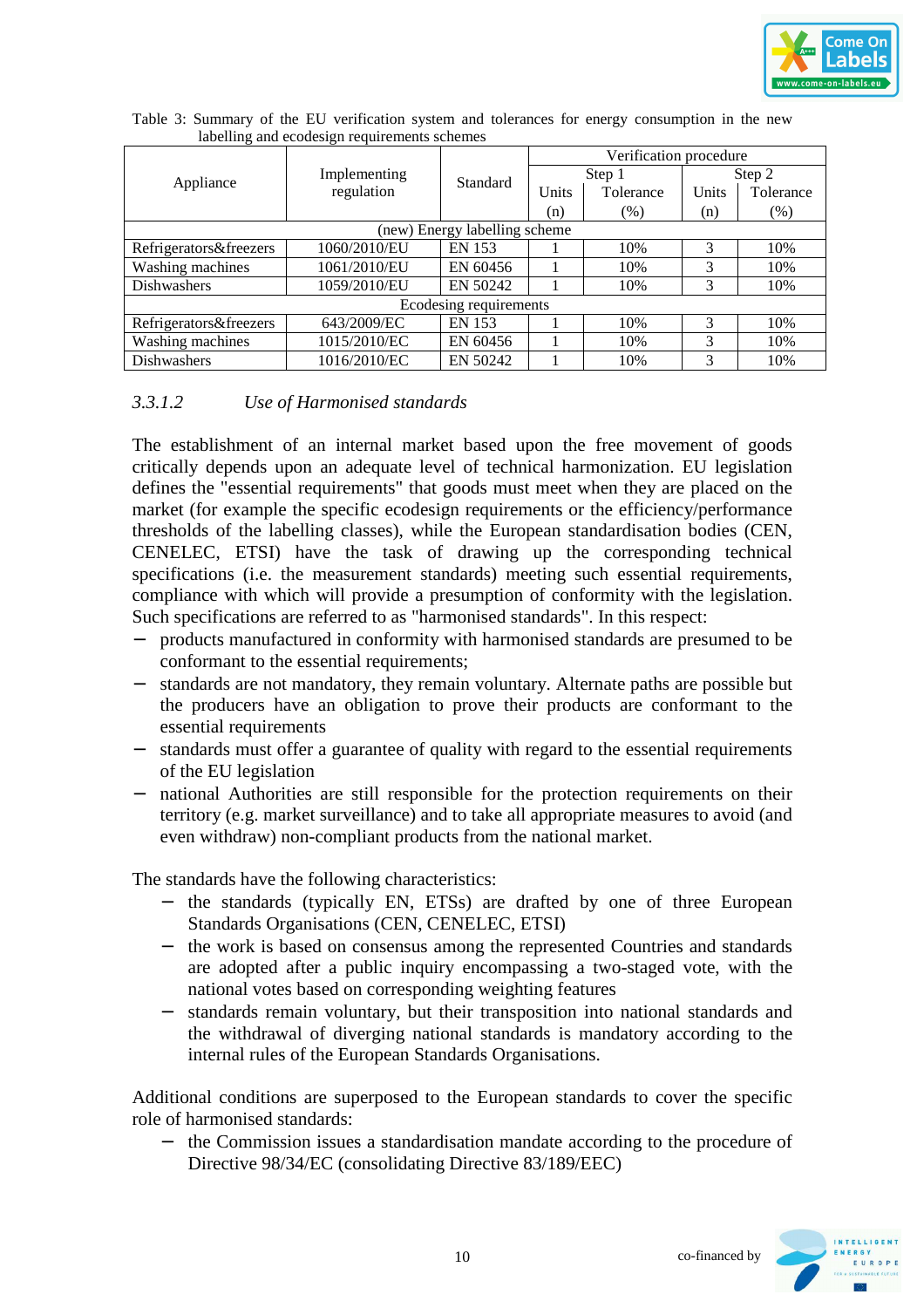

|                                    |                        |                               | Verification procedure |           |        |           |  |
|------------------------------------|------------------------|-------------------------------|------------------------|-----------|--------|-----------|--|
| Appliance                          | Implementing           | Standard                      |                        | Step 1    | Step 2 |           |  |
|                                    | regulation             |                               | Units                  | Tolerance | Units  | Tolerance |  |
|                                    |                        |                               | (% )<br>(n)            |           | (n)    | (%)       |  |
|                                    |                        | (new) Energy labelling scheme |                        |           |        |           |  |
| Refrigerators&freezers             | 1060/2010/EU           | EN 153                        | 10%                    |           | 3      | 10%       |  |
| Washing machines                   | 1061/2010/EU           | EN 60456                      |                        | 10%       | 3      | 10%       |  |
| 1059/2010/EU<br><b>Dishwashers</b> |                        | EN 50242                      | 10%                    |           | 3      | 10%       |  |
|                                    | Ecodesing requirements |                               |                        |           |        |           |  |
| Refrigerators&freezers             | 643/2009/EC            | EN 153                        | 10%                    |           | 3      | 10%       |  |
| Washing machines                   | 1015/2010/EC           | EN 60456                      |                        | 10%       | 3      | 10%       |  |
| Dishwashers                        | 1016/2010/EC           | EN 50242                      |                        | 10%       | 3      | 10%       |  |

Table 3: Summary of the EU verification system and tolerances for energy consumption in the new labelling and ecodesign requirements schemes

#### *3.3.1.2 Use of Harmonised standards*

The establishment of an internal market based upon the free movement of goods critically depends upon an adequate level of technical harmonization. EU legislation defines the "essential requirements" that goods must meet when they are placed on the market (for example the specific ecodesign requirements or the efficiency/performance thresholds of the labelling classes), while the European standardisation bodies (CEN, CENELEC, ETSI) have the task of drawing up the corresponding technical specifications (i.e. the measurement standards) meeting such essential requirements, compliance with which will provide a presumption of conformity with the legislation. Such specifications are referred to as "harmonised standards". In this respect:

- − products manufactured in conformity with harmonised standards are presumed to be conformant to the essential requirements;
- − standards are not mandatory, they remain voluntary. Alternate paths are possible but the producers have an obligation to prove their products are conformant to the essential requirements
- standards must offer a guarantee of quality with regard to the essential requirements of the EU legislation
- national Authorities are still responsible for the protection requirements on their territory (e.g. market surveillance) and to take all appropriate measures to avoid (and even withdraw) non-compliant products from the national market.

The standards have the following characteristics:

- − the standards (typically EN, ETSs) are drafted by one of three European Standards Organisations (CEN, CENELEC, ETSI)
- − the work is based on consensus among the represented Countries and standards are adopted after a public inquiry encompassing a two-staged vote, with the national votes based on corresponding weighting features
- standards remain voluntary, but their transposition into national standards and the withdrawal of diverging national standards is mandatory according to the internal rules of the European Standards Organisations.

Additional conditions are superposed to the European standards to cover the specific role of harmonised standards:

the Commission issues a standardisation mandate according to the procedure of Directive 98/34/EC (consolidating Directive 83/189/EEC)

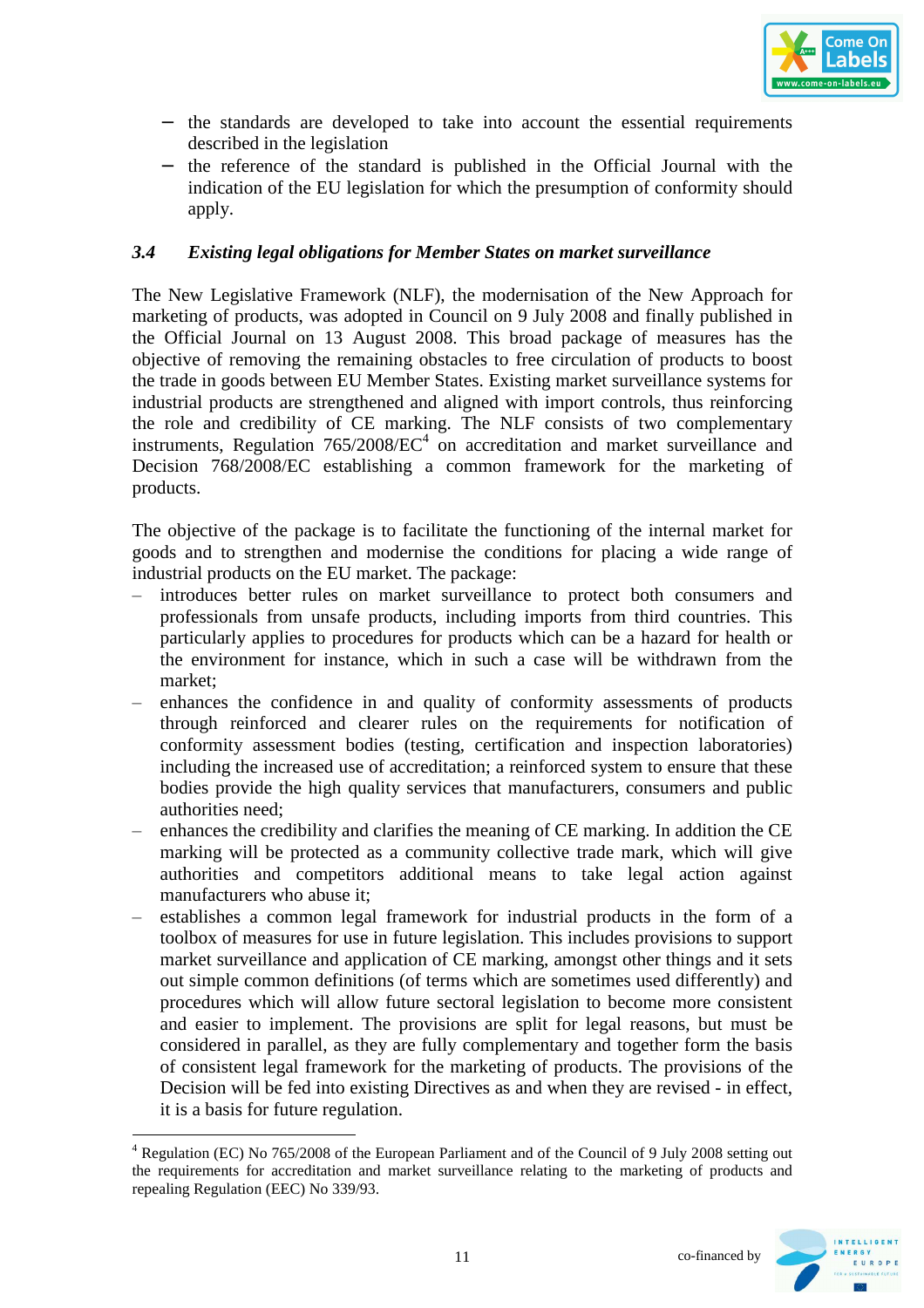

- − the standards are developed to take into account the essential requirements described in the legislation
- − the reference of the standard is published in the Official Journal with the indication of the EU legislation for which the presumption of conformity should apply.

## *3.4 Existing legal obligations for Member States on market surveillance*

The New Legislative Framework (NLF), the modernisation of the New Approach for marketing of products, was adopted in Council on 9 July 2008 and finally published in the Official Journal on 13 August 2008. This broad package of measures has the objective of removing the remaining obstacles to free circulation of products to boost the trade in goods between EU Member States. Existing market surveillance systems for industrial products are strengthened and aligned with import controls, thus reinforcing the role and credibility of CE marking. The NLF consists of two complementary instruments, Regulation  $765/2008/EC^4$  on accreditation and market surveillance and Decision 768/2008/EC establishing a common framework for the marketing of products.

The objective of the package is to facilitate the functioning of the internal market for goods and to strengthen and modernise the conditions for placing a wide range of industrial products on the EU market. The package:

- ‒ introduces better rules on market surveillance to protect both consumers and professionals from unsafe products, including imports from third countries. This particularly applies to procedures for products which can be a hazard for health or the environment for instance, which in such a case will be withdrawn from the market;
- ‒ enhances the confidence in and quality of conformity assessments of products through reinforced and clearer rules on the requirements for notification of conformity assessment bodies (testing, certification and inspection laboratories) including the increased use of accreditation; a reinforced system to ensure that these bodies provide the high quality services that manufacturers, consumers and public authorities need;
- ‒ enhances the credibility and clarifies the meaning of CE marking. In addition the CE marking will be protected as a community collective trade mark, which will give authorities and competitors additional means to take legal action against manufacturers who abuse it;
- ‒ establishes a common legal framework for industrial products in the form of a toolbox of measures for use in future legislation. This includes provisions to support market surveillance and application of CE marking, amongst other things and it sets out simple common definitions (of terms which are sometimes used differently) and procedures which will allow future sectoral legislation to become more consistent and easier to implement. The provisions are split for legal reasons, but must be considered in parallel, as they are fully complementary and together form the basis of consistent legal framework for the marketing of products. The provisions of the Decision will be fed into existing Directives as and when they are revised - in effect, it is a basis for future regulation.

 $\overline{a}$ 



<sup>&</sup>lt;sup>4</sup> Regulation (EC) No 765/2008 of the European Parliament and of the Council of 9 July 2008 setting out the requirements for accreditation and market surveillance relating to the marketing of products and repealing Regulation (EEC) No 339/93.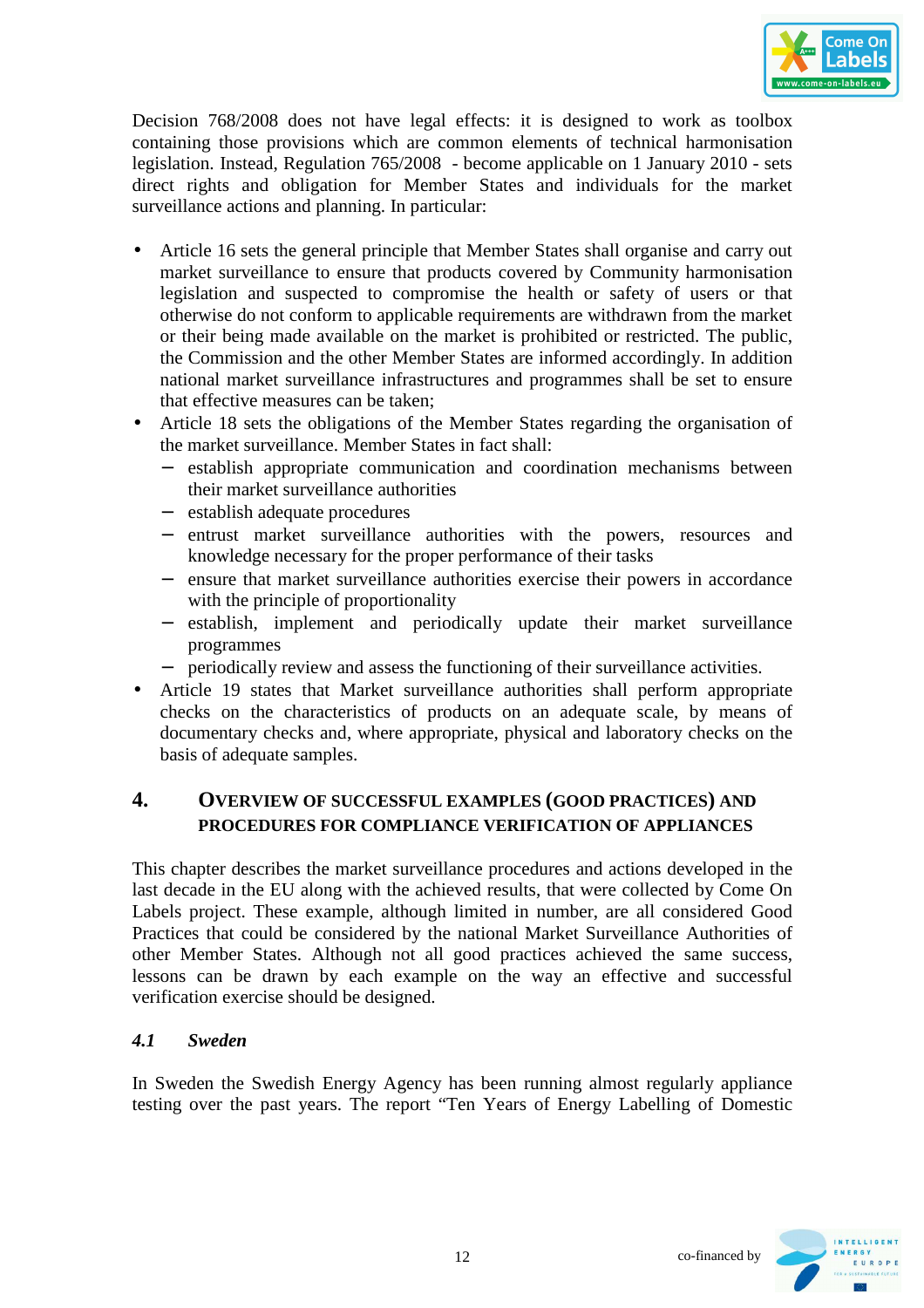

Decision 768/2008 does not have legal effects: it is designed to work as toolbox containing those provisions which are common elements of technical harmonisation legislation. Instead, Regulation 765/2008 - become applicable on 1 January 2010 - sets direct rights and obligation for Member States and individuals for the market surveillance actions and planning. In particular:

- Article 16 sets the general principle that Member States shall organise and carry out market surveillance to ensure that products covered by Community harmonisation legislation and suspected to compromise the health or safety of users or that otherwise do not conform to applicable requirements are withdrawn from the market or their being made available on the market is prohibited or restricted. The public, the Commission and the other Member States are informed accordingly. In addition national market surveillance infrastructures and programmes shall be set to ensure that effective measures can be taken;
- Article 18 sets the obligations of the Member States regarding the organisation of the market surveillance. Member States in fact shall:
	- − establish appropriate communication and coordination mechanisms between their market surveillance authorities
	- − establish adequate procedures
	- − entrust market surveillance authorities with the powers, resources and knowledge necessary for the proper performance of their tasks
	- − ensure that market surveillance authorities exercise their powers in accordance with the principle of proportionality
	- − establish, implement and periodically update their market surveillance programmes
	- − periodically review and assess the functioning of their surveillance activities.
- Article 19 states that Market surveillance authorities shall perform appropriate checks on the characteristics of products on an adequate scale, by means of documentary checks and, where appropriate, physical and laboratory checks on the basis of adequate samples.

## **4. OVERVIEW OF SUCCESSFUL EXAMPLES (GOOD PRACTICES) AND PROCEDURES FOR COMPLIANCE VERIFICATION OF APPLIANCES**

This chapter describes the market surveillance procedures and actions developed in the last decade in the EU along with the achieved results, that were collected by Come On Labels project. These example, although limited in number, are all considered Good Practices that could be considered by the national Market Surveillance Authorities of other Member States. Although not all good practices achieved the same success, lessons can be drawn by each example on the way an effective and successful verification exercise should be designed.

## *4.1 Sweden*

In Sweden the Swedish Energy Agency has been running almost regularly appliance testing over the past years. The report "Ten Years of Energy Labelling of Domestic

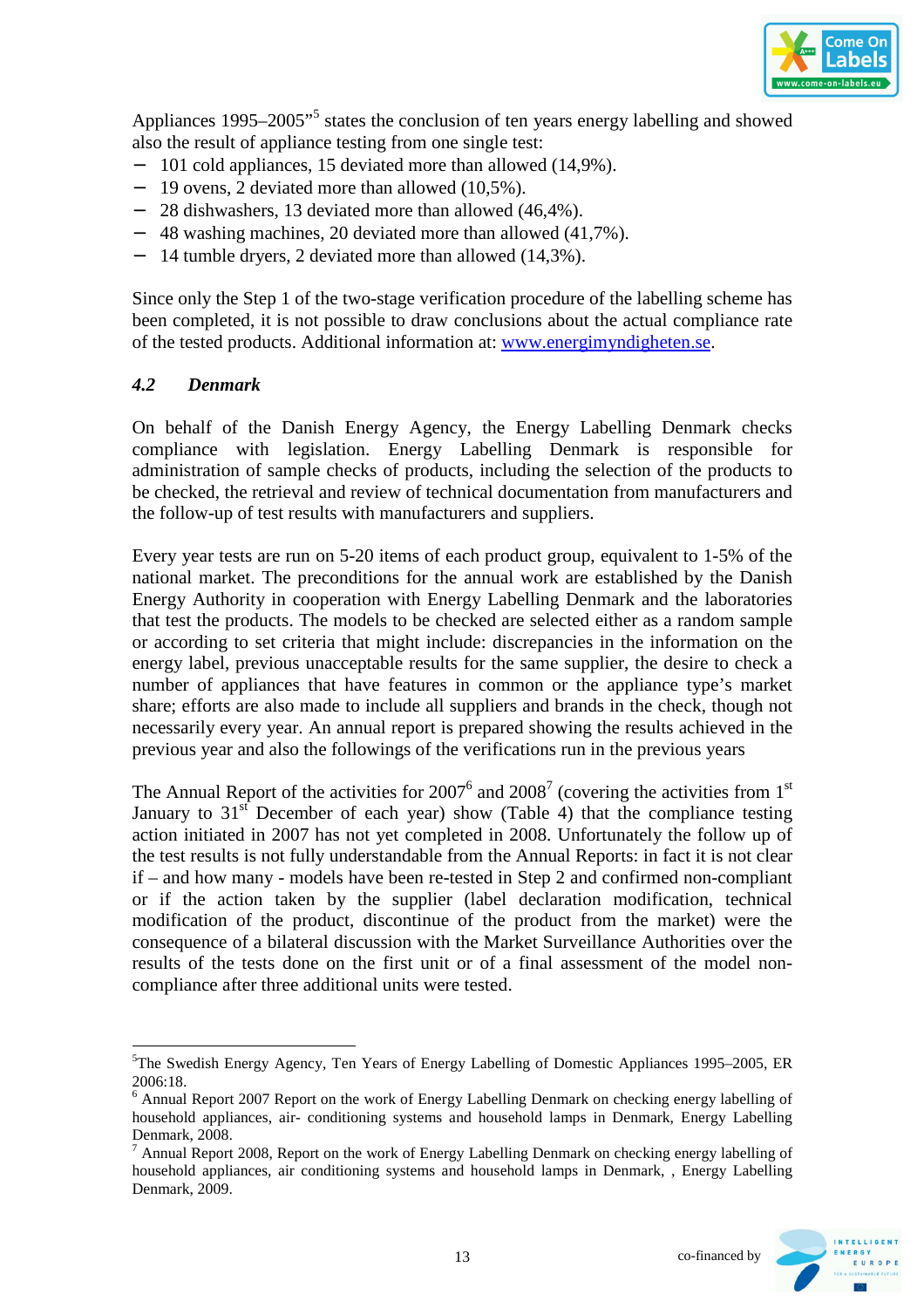

Appliances 1995–2005"<sup>5</sup> states the conclusion of ten years energy labelling and showed also the result of appliance testing from one single test:

- − 101 cold appliances, 15 deviated more than allowed (14,9%).
- − 19 ovens, 2 deviated more than allowed (10,5%).
- − 28 dishwashers, 13 deviated more than allowed (46,4%).
- − 48 washing machines, 20 deviated more than allowed (41,7%).
- − 14 tumble dryers, 2 deviated more than allowed (14,3%).

Since only the Step 1 of the two-stage verification procedure of the labelling scheme has been completed, it is not possible to draw conclusions about the actual compliance rate of the tested products. Additional information at: www.energimyndigheten.se.

## *4.2 Denmark*

 $\overline{a}$ 

On behalf of the Danish Energy Agency, the Energy Labelling Denmark checks compliance with legislation. Energy Labelling Denmark is responsible for administration of sample checks of products, including the selection of the products to be checked, the retrieval and review of technical documentation from manufacturers and the follow-up of test results with manufacturers and suppliers.

Every year tests are run on 5-20 items of each product group, equivalent to 1-5% of the national market. The preconditions for the annual work are established by the Danish Energy Authority in cooperation with Energy Labelling Denmark and the laboratories that test the products. The models to be checked are selected either as a random sample or according to set criteria that might include: discrepancies in the information on the energy label, previous unacceptable results for the same supplier, the desire to check a number of appliances that have features in common or the appliance type's market share; efforts are also made to include all suppliers and brands in the check, though not necessarily every year. An annual report is prepared showing the results achieved in the previous year and also the followings of the verifications run in the previous years

The Annual Report of the activities for  $2007^6$  and  $2008^7$  (covering the activities from  $1<sup>st</sup>$ January to  $31<sup>st</sup>$  December of each year) show (Table 4) that the compliance testing action initiated in 2007 has not yet completed in 2008. Unfortunately the follow up of the test results is not fully understandable from the Annual Reports: in fact it is not clear if – and how many - models have been re-tested in Step 2 and confirmed non-compliant or if the action taken by the supplier (label declaration modification, technical modification of the product, discontinue of the product from the market) were the consequence of a bilateral discussion with the Market Surveillance Authorities over the results of the tests done on the first unit or of a final assessment of the model noncompliance after three additional units were tested.

 $<sup>7</sup>$  Annual Report 2008, Report on the work of Energy Labelling Denmark on checking energy labelling of</sup> household appliances, air conditioning systems and household lamps in Denmark, , Energy Labelling Denmark, 2009.



<sup>&</sup>lt;sup>5</sup>The Swedish Energy Agency, Ten Years of Energy Labelling of Domestic Appliances 1995–2005, ER 2006:18.

<sup>&</sup>lt;sup>6</sup> Annual Report 2007 Report on the work of Energy Labelling Denmark on checking energy labelling of household appliances, air- conditioning systems and household lamps in Denmark, Energy Labelling Denmark, 2008.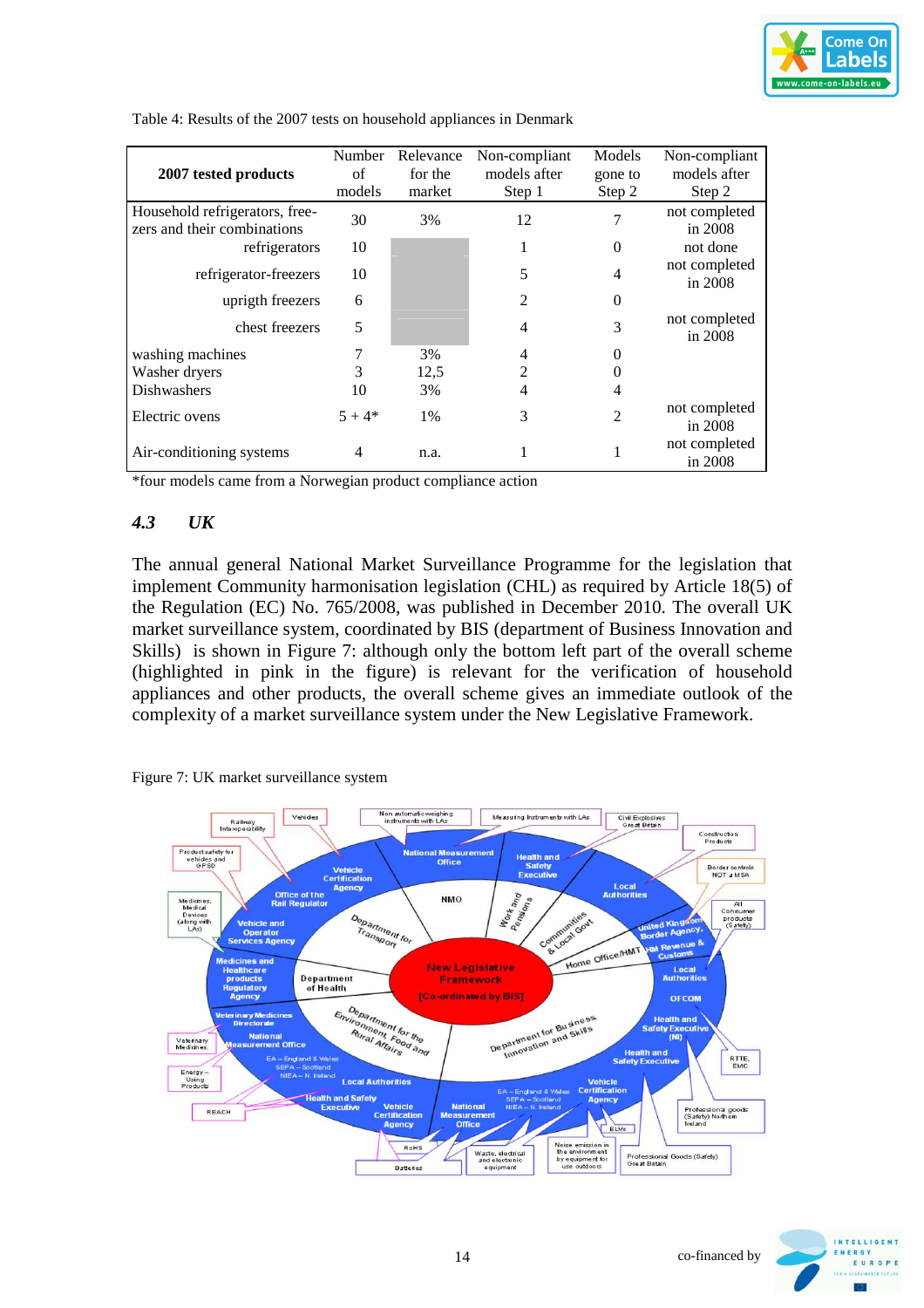

| 2007 tested products                                          | of<br>models | Number Relevance<br>for the<br>market | Non-compliant<br>models after<br>Step 1 | Models<br>gone to<br>Step 2 | Non-compliant<br>models after<br>Step 2 |
|---------------------------------------------------------------|--------------|---------------------------------------|-----------------------------------------|-----------------------------|-----------------------------------------|
| Household refrigerators, free-<br>zers and their combinations | 30           | 3%                                    | 12                                      |                             | not completed<br>in $2008$              |
| refrigerators                                                 | 10           |                                       |                                         | $\Omega$                    | not done                                |
| refrigerator-freezers                                         | 10           |                                       | 5                                       | 4                           | not completed<br>in 2008                |
| uprigth freezers                                              | 6            |                                       | 2                                       | $\Omega$                    |                                         |
| chest freezers                                                | 5            |                                       | 4                                       | 3                           | not completed<br>in 2008                |
| washing machines                                              |              | 3%                                    | 4                                       |                             |                                         |
| Washer dryers                                                 | 3            | 12,5                                  | $\mathfrak{D}$                          |                             |                                         |
| <b>Dishwashers</b>                                            | 10           | 3%                                    | 4                                       | 4                           |                                         |
| Electric ovens                                                | $5 + 4*$     | $1\%$                                 | 3                                       | $\mathfrak{D}$              | not completed<br>in $2008$              |
| Air-conditioning systems                                      | 4            | n.a.                                  |                                         |                             | not completed<br>in 2008                |

Table 4: Results of the 2007 tests on household appliances in Denmark

\*four models came from a Norwegian product compliance action

## *4.3 UK*

The annual general National Market Surveillance Programme for the legislation that implement Community harmonisation legislation (CHL) as required by Article 18(5) of the Regulation (EC) No. 765/2008, was published in December 2010. The overall UK market surveillance system, coordinated by BIS (department of Business Innovation and Skills) is shown in Figure 7: although only the bottom left part of the overall scheme (highlighted in pink in the figure) is relevant for the verification of household appliances and other products, the overall scheme gives an immediate outlook of the complexity of a market surveillance system under the New Legislative Framework.

Figure 7: UK market surveillance system



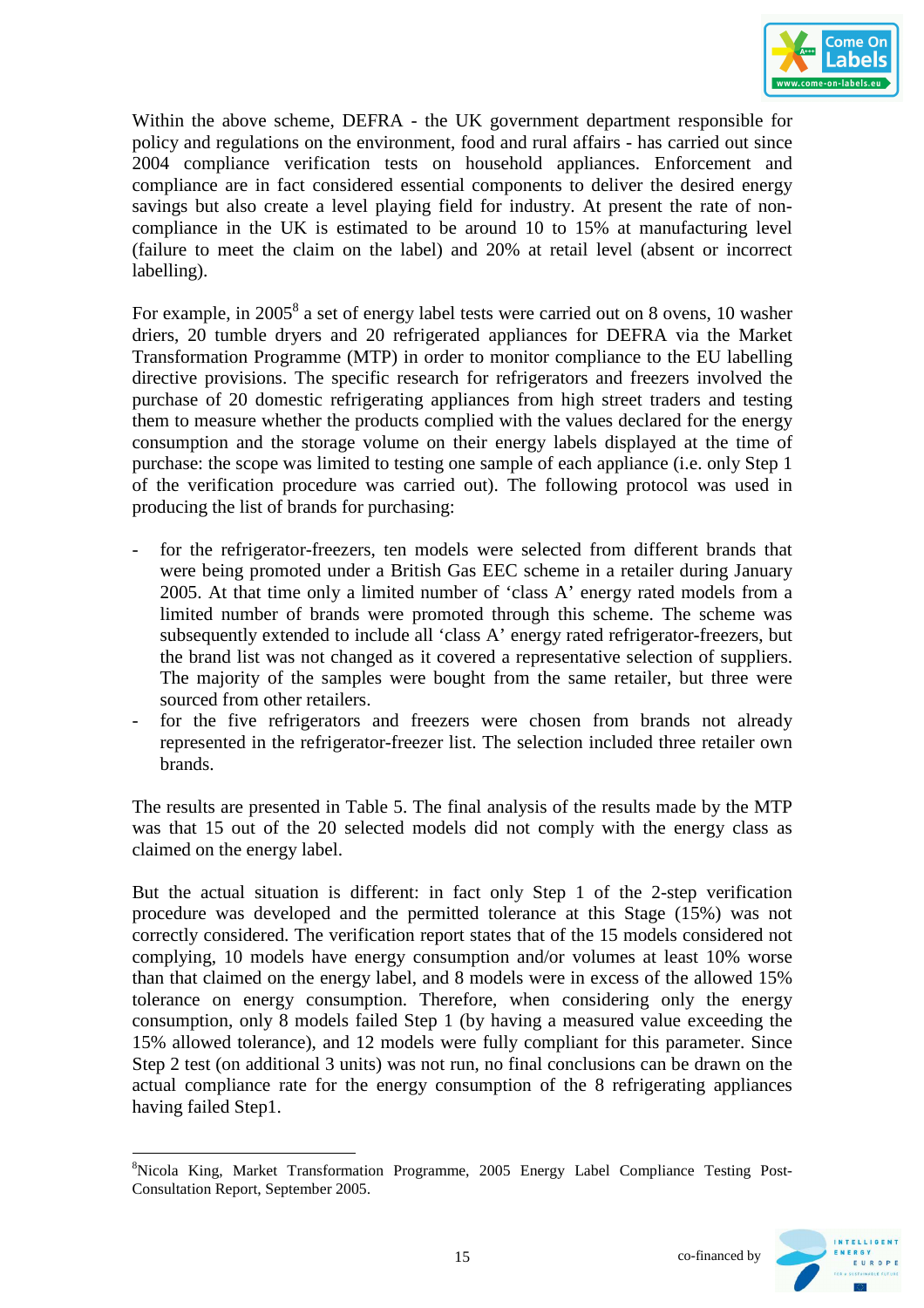

Within the above scheme, DEFRA - the UK government department responsible for policy and regulations on the environment, food and rural affairs - has carried out since 2004 compliance verification tests on household appliances. Enforcement and compliance are in fact considered essential components to deliver the desired energy savings but also create a level playing field for industry. At present the rate of noncompliance in the UK is estimated to be around 10 to 15% at manufacturing level (failure to meet the claim on the label) and 20% at retail level (absent or incorrect labelling).

For example, in  $2005^8$  a set of energy label tests were carried out on 8 ovens, 10 washer driers, 20 tumble dryers and 20 refrigerated appliances for DEFRA via the Market Transformation Programme (MTP) in order to monitor compliance to the EU labelling directive provisions. The specific research for refrigerators and freezers involved the purchase of 20 domestic refrigerating appliances from high street traders and testing them to measure whether the products complied with the values declared for the energy consumption and the storage volume on their energy labels displayed at the time of purchase: the scope was limited to testing one sample of each appliance (i.e. only Step 1 of the verification procedure was carried out). The following protocol was used in producing the list of brands for purchasing:

- for the refrigerator-freezers, ten models were selected from different brands that were being promoted under a British Gas EEC scheme in a retailer during January 2005. At that time only a limited number of 'class A' energy rated models from a limited number of brands were promoted through this scheme. The scheme was subsequently extended to include all 'class A' energy rated refrigerator-freezers, but the brand list was not changed as it covered a representative selection of suppliers. The majority of the samples were bought from the same retailer, but three were sourced from other retailers.
- for the five refrigerators and freezers were chosen from brands not already represented in the refrigerator-freezer list. The selection included three retailer own brands.

The results are presented in Table 5. The final analysis of the results made by the MTP was that 15 out of the 20 selected models did not comply with the energy class as claimed on the energy label.

But the actual situation is different: in fact only Step 1 of the 2-step verification procedure was developed and the permitted tolerance at this Stage (15%) was not correctly considered. The verification report states that of the 15 models considered not complying, 10 models have energy consumption and/or volumes at least 10% worse than that claimed on the energy label, and 8 models were in excess of the allowed 15% tolerance on energy consumption. Therefore, when considering only the energy consumption, only 8 models failed Step 1 (by having a measured value exceeding the 15% allowed tolerance), and 12 models were fully compliant for this parameter. Since Step 2 test (on additional 3 units) was not run, no final conclusions can be drawn on the actual compliance rate for the energy consumption of the 8 refrigerating appliances having failed Step1.

 $\overline{a}$ 



<sup>8</sup>Nicola King, Market Transformation Programme, 2005 Energy Label Compliance Testing Post-Consultation Report, September 2005.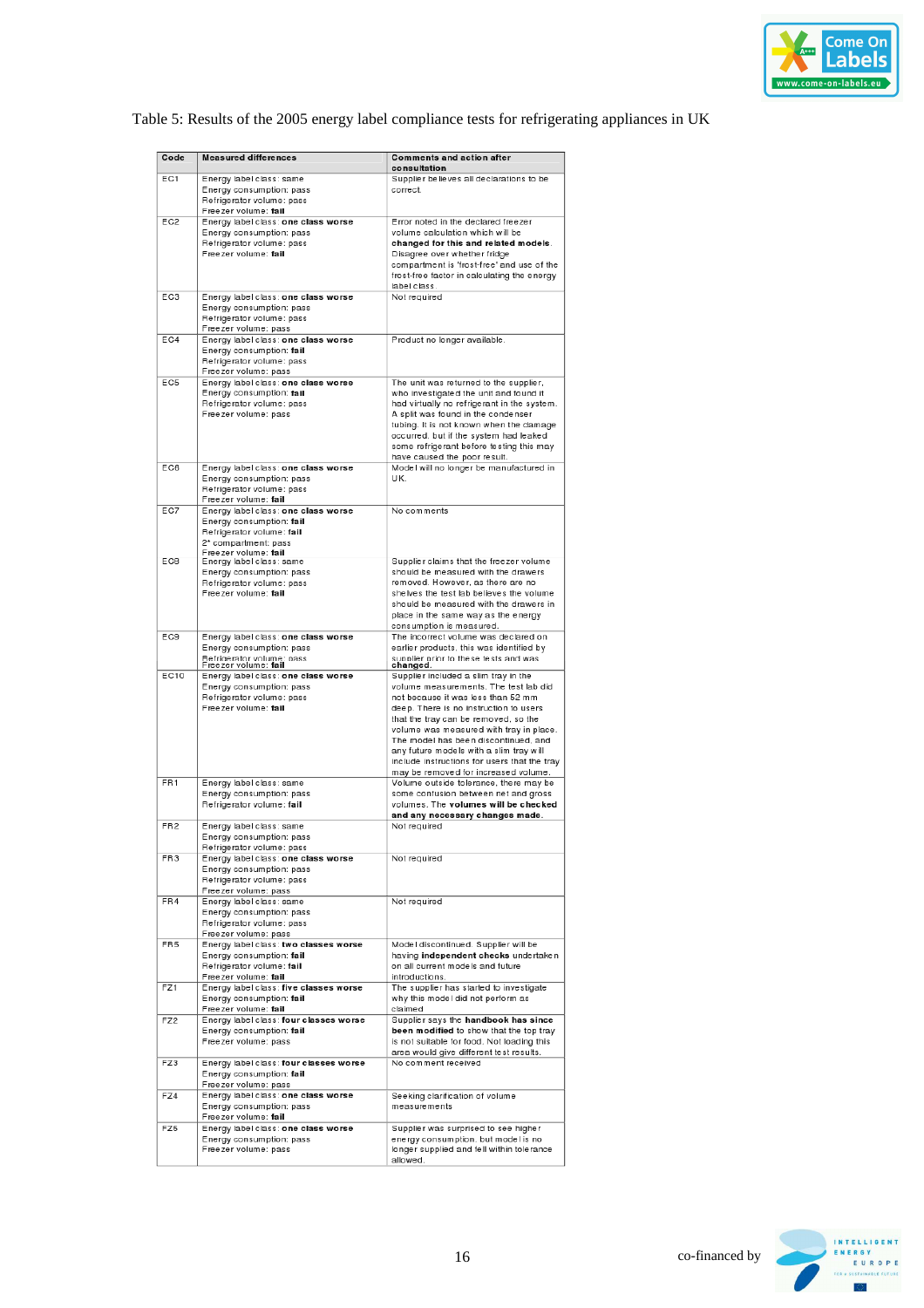

Table 5: Results of the 2005 energy label compliance tests for refrigerating appliances in UK

| Code             | <b>Measured differences</b>                                                   | <b>Comments and action after</b><br>consultation                                     |
|------------------|-------------------------------------------------------------------------------|--------------------------------------------------------------------------------------|
| EC1              | Energy label class: same                                                      | Supplier believes all declarations to be                                             |
|                  | Energy consumption: pass<br>Refrigerator volume: pass<br>Freezer volume: fail | correct.                                                                             |
| EC <sub>2</sub>  | Energy label class: one class worse                                           | Error noted in the declared freezer                                                  |
|                  | Energy consumption: pass                                                      | volume calculation which will be                                                     |
|                  | Refrigerator volume: pass                                                     | changed for this and related models.                                                 |
|                  | Freezer volume: fail                                                          | Disagree over whether fridge                                                         |
|                  |                                                                               | compartment is 'frost-free' and use of the                                           |
|                  |                                                                               | frost-free factor in calculating the energy<br>label class.                          |
| EC3              | Energy label class: one class worse                                           | Not required                                                                         |
|                  | Energy consumption: pass                                                      |                                                                                      |
|                  | Refrigerator volume: pass<br>Freezer volume: pass                             |                                                                                      |
| EC4              | Energy label class: one class worse                                           | Product no longer available.                                                         |
|                  | Energy consumption: fail                                                      |                                                                                      |
|                  | Refrigerator volume: pass<br>Freezer volume: pass                             |                                                                                      |
| EC5              | Energy label class: one class worse                                           | The unit was returned to the supplier,                                               |
|                  | Energy consumption: fail                                                      | who investigated the unit and found it                                               |
|                  | Refrigerator volume: pass                                                     | had virtually no refrigerant in the system.                                          |
|                  | Freezer volume: pass                                                          | A split was found in the condenser                                                   |
|                  |                                                                               | tubing. It is not known when the damage                                              |
|                  |                                                                               | occurred, but if the system had leaked                                               |
|                  |                                                                               | some refrigerant before testing this may                                             |
|                  |                                                                               | have caused the poor result.                                                         |
| EC6              | Energy label class: one class worse<br>Energy consumption: pass               | Model will no longer be manufactured in<br>UK.                                       |
|                  | Refrigerator volume: pass                                                     |                                                                                      |
|                  | Freezer volume: <b>fail</b>                                                   |                                                                                      |
| EC7              | Energy label class: one class worse                                           | No comments                                                                          |
|                  | Energy consumption: fail                                                      |                                                                                      |
|                  | Refrigerator volume: fail<br>2* compartment: pass                             |                                                                                      |
|                  | Freezer volume: fail                                                          |                                                                                      |
| EC <sub>8</sub>  | Energy label class: same                                                      | Supplier claims that the freezer volume                                              |
|                  | Energy consumption: pass                                                      | should be measured with the drawers                                                  |
|                  | Refrigerator volume: pass                                                     | removed. However, as there are no                                                    |
|                  | Freezer volume: fail                                                          | shelves the test lab believes the volume                                             |
|                  |                                                                               | should be measured with the drawers in                                               |
|                  |                                                                               | place in the same way as the energy<br>consumption is measured.                      |
| EC <sub>9</sub>  | Energy label class: one class worse                                           | The incorrect volume was declared on                                                 |
|                  | Energy consumption: pass                                                      | earlier products, this was identified by                                             |
|                  | Refrigerator volume: pass<br>Freezer volume: <b>fail</b>                      | supplier prior to these tests and was                                                |
| EC10             | Energy label class: one class worse                                           | changed.<br>Supplier included a slim tray in the                                     |
|                  | Energy consumption: pass                                                      | volume measurements. The test lab did                                                |
|                  | Refrigerator volume: pass                                                     | not because it was less than 52 mm                                                   |
|                  | Freezer volume: fail                                                          | deep. There is no instruction to users                                               |
|                  |                                                                               | that the tray can be removed, so the                                                 |
|                  |                                                                               | volume was measured with tray in place.                                              |
|                  |                                                                               | The model has been discontinued, and                                                 |
|                  |                                                                               | any future models with a slim tray will                                              |
|                  |                                                                               | include instructions for users that the tray<br>may be removed for increased volume. |
| $F\overline{R1}$ | Energy label class: same                                                      | Volume outside tolerance, there may be                                               |
|                  | Energy consumption: pass                                                      | some confusion between net and gross                                                 |
|                  | Refrigerator volume: fail                                                     | volumes. The volumes will be checked                                                 |
|                  |                                                                               | and any necessary changes made.                                                      |
| FR <sub>2</sub>  | Energy label class: same                                                      | Not required                                                                         |
|                  | ⊏nergy consumpuon: pass<br>Refrigerator volume: pass                          |                                                                                      |
| FR3              | Energy label class: one class worse                                           | Not required                                                                         |
|                  | Energy consumption: pass                                                      |                                                                                      |
|                  | Refrigerator volume: pass                                                     |                                                                                      |
|                  | Freezer volume: pass                                                          |                                                                                      |
| FR4              | Energy label class: same                                                      | Not required                                                                         |
|                  | Energy consumption: pass<br>Refrigerator volume: pass                         |                                                                                      |
|                  | Freezer volume: pass                                                          |                                                                                      |
| FR <sub>5</sub>  | Energy label class: two classes worse                                         | Model discontinued. Supplier will be                                                 |
|                  | Energy consumption: fail                                                      | having independent checks undertaken                                                 |
|                  | Refrigerator volume: fail                                                     | on all current models and future                                                     |
|                  | Freezer volume: fail                                                          | introductions.                                                                       |
| FZ1              | Energy label class: five classes worse                                        | The supplier has started to investigate                                              |
|                  | Energy consumption: fail<br>Freezer volume: fail                              | why this model did not perform as<br>claimed                                         |
| FZ <sub>2</sub>  | Energy label class: four classes worse                                        | Supplier says the handbook has since                                                 |
|                  | Energy consumption: fail                                                      | been modified to show that the top tray                                              |
|                  | Freezer volume: pass                                                          | is not suitable for food. Not loading this                                           |
|                  |                                                                               | area would give different test results.                                              |
| FZ3              | Energy label class: four classes worse                                        | No comment received                                                                  |
|                  | Energy consumption: fail                                                      |                                                                                      |
|                  | Freezer volume: pass                                                          |                                                                                      |
| FZ4              | Energy label class: one class worse<br>Energy consumption: pass               | Seeking clarification of volume<br>measurements                                      |
|                  | Freezer volume: fail                                                          |                                                                                      |
| FZ5              | Energy label class: one class worse                                           | Supplier was surprised to see higher                                                 |
|                  | Energy consumption: pass                                                      | energy consumption, but model is no                                                  |
|                  | Freezer volume: pass                                                          | longer supplied and fell within tolerance                                            |
|                  |                                                                               | allowed.                                                                             |

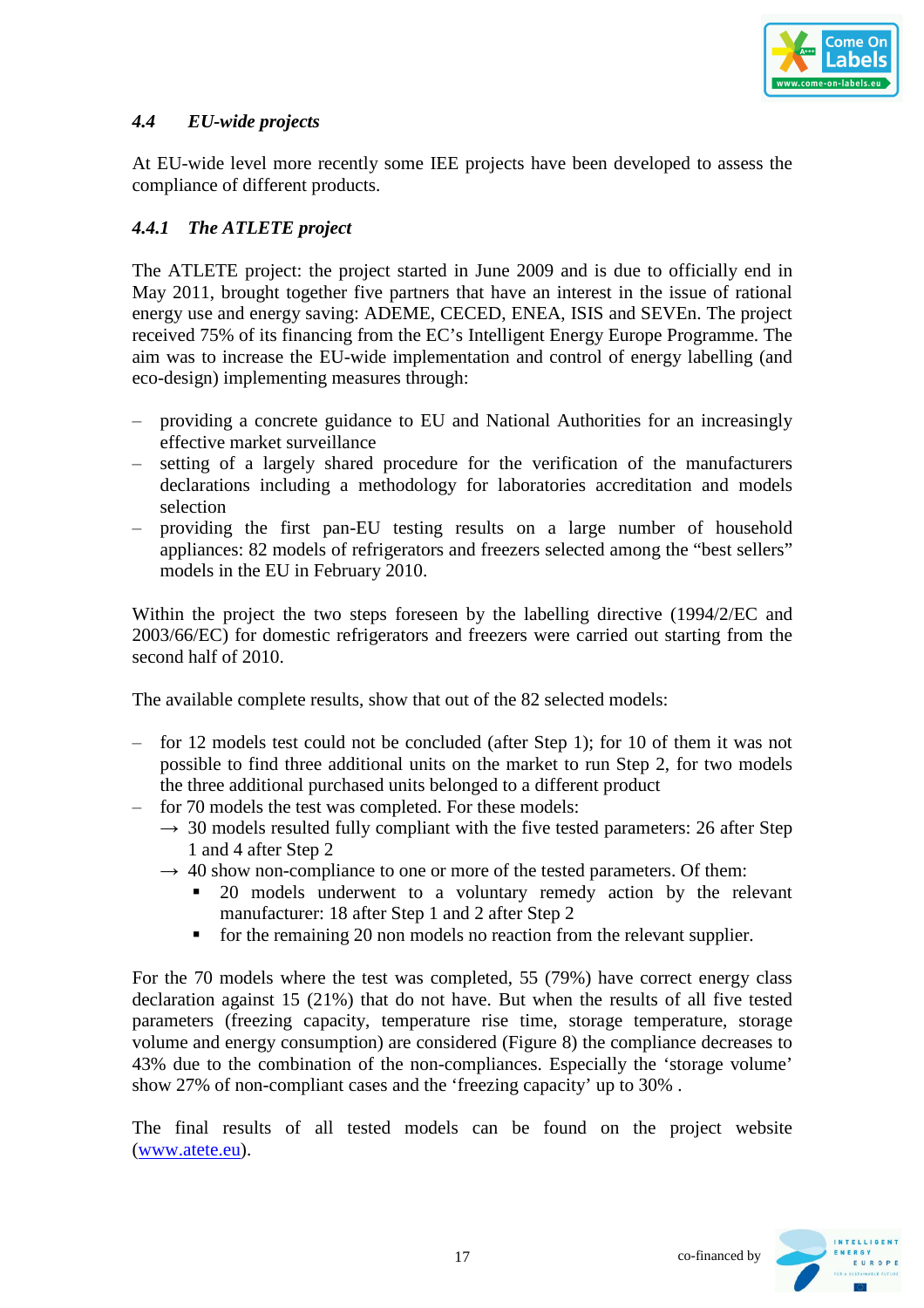

## *4.4 EU-wide projects*

At EU-wide level more recently some IEE projects have been developed to assess the compliance of different products.

## *4.4.1 The ATLETE project*

The ATLETE project: the project started in June 2009 and is due to officially end in May 2011, brought together five partners that have an interest in the issue of rational energy use and energy saving: ADEME, CECED, ENEA, ISIS and SEVEn. The project received 75% of its financing from the EC's Intelligent Energy Europe Programme. The aim was to increase the EU-wide implementation and control of energy labelling (and eco-design) implementing measures through:

- ‒ providing a concrete guidance to EU and National Authorities for an increasingly effective market surveillance
- ‒ setting of a largely shared procedure for the verification of the manufacturers declarations including a methodology for laboratories accreditation and models selection
- ‒ providing the first pan-EU testing results on a large number of household appliances: 82 models of refrigerators and freezers selected among the "best sellers" models in the EU in February 2010.

Within the project the two steps foreseen by the labelling directive (1994/2/EC and 2003/66/EC) for domestic refrigerators and freezers were carried out starting from the second half of 2010.

The available complete results, show that out of the 82 selected models:

- for 12 models test could not be concluded (after Step 1); for 10 of them it was not possible to find three additional units on the market to run Step 2, for two models the three additional purchased units belonged to a different product
- for 70 models the test was completed. For these models:
	- $\rightarrow$  30 models resulted fully compliant with the five tested parameters: 26 after Step 1 and 4 after Step 2
	- $\rightarrow$  40 show non-compliance to one or more of the tested parameters. Of them:
		- **20** models underwent to a voluntary remedy action by the relevant manufacturer: 18 after Step 1 and 2 after Step 2
		- for the remaining 20 non models no reaction from the relevant supplier.

For the 70 models where the test was completed, 55 (79%) have correct energy class declaration against 15 (21%) that do not have. But when the results of all five tested parameters (freezing capacity, temperature rise time, storage temperature, storage volume and energy consumption) are considered (Figure 8) the compliance decreases to 43% due to the combination of the non-compliances. Especially the 'storage volume' show 27% of non-compliant cases and the 'freezing capacity' up to 30% .

The final results of all tested models can be found on the project website (www.atete.eu).

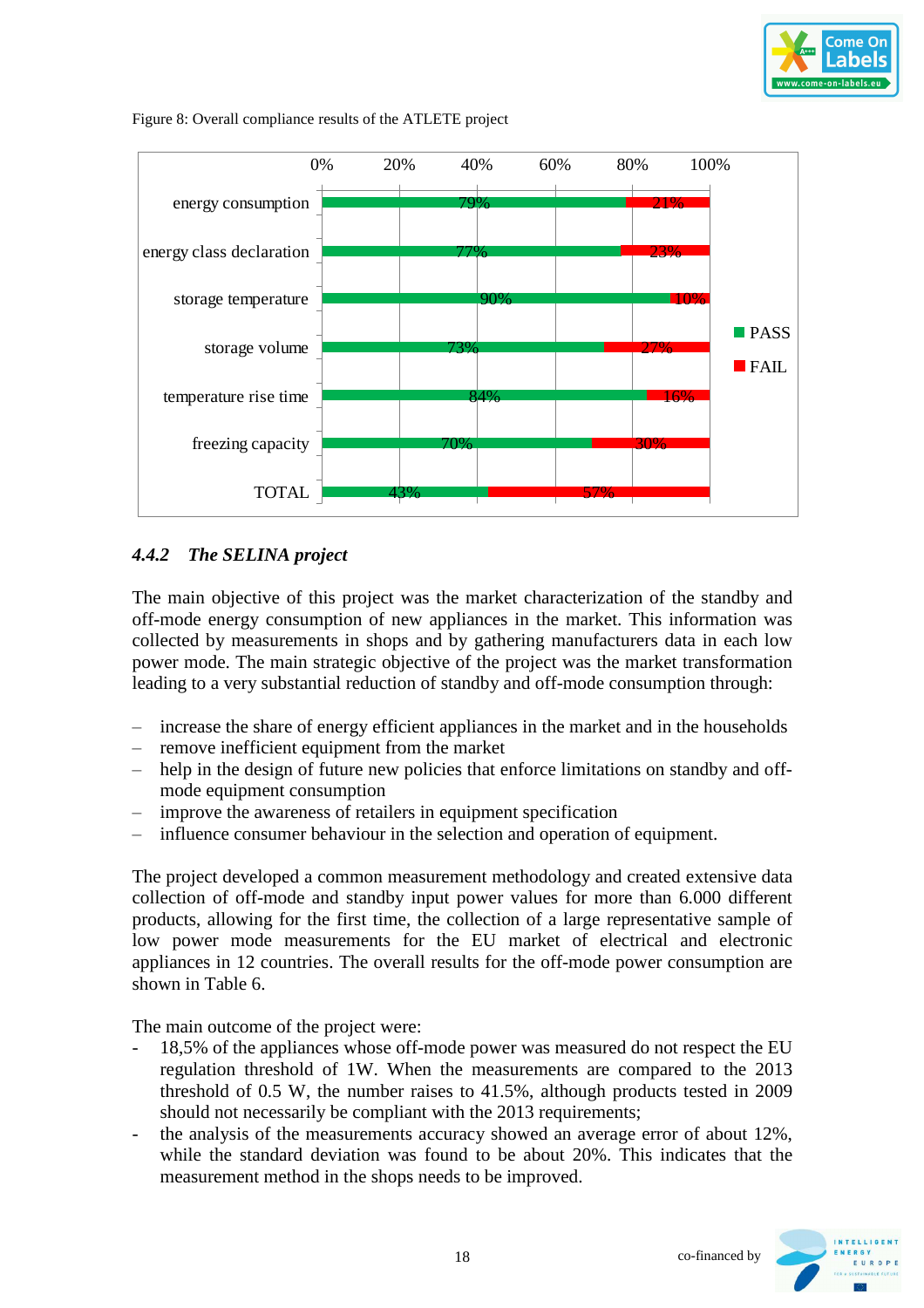





## *4.4.2 The SELINA project*

The main objective of this project was the market characterization of the standby and off-mode energy consumption of new appliances in the market. This information was collected by measurements in shops and by gathering manufacturers data in each low power mode. The main strategic objective of the project was the market transformation leading to a very substantial reduction of standby and off-mode consumption through:

- ‒ increase the share of energy efficient appliances in the market and in the households
- ‒ remove inefficient equipment from the market
- help in the design of future new policies that enforce limitations on standby and offmode equipment consumption
- ‒ improve the awareness of retailers in equipment specification
- ‒ influence consumer behaviour in the selection and operation of equipment.

The project developed a common measurement methodology and created extensive data collection of off-mode and standby input power values for more than 6.000 different products, allowing for the first time, the collection of a large representative sample of low power mode measurements for the EU market of electrical and electronic appliances in 12 countries. The overall results for the off-mode power consumption are shown in Table 6.

The main outcome of the project were:

- 18,5% of the appliances whose off-mode power was measured do not respect the EU regulation threshold of 1W. When the measurements are compared to the 2013 threshold of 0.5 W, the number raises to 41.5%, although products tested in 2009 should not necessarily be compliant with the 2013 requirements;
- the analysis of the measurements accuracy showed an average error of about 12%, while the standard deviation was found to be about 20%. This indicates that the measurement method in the shops needs to be improved.

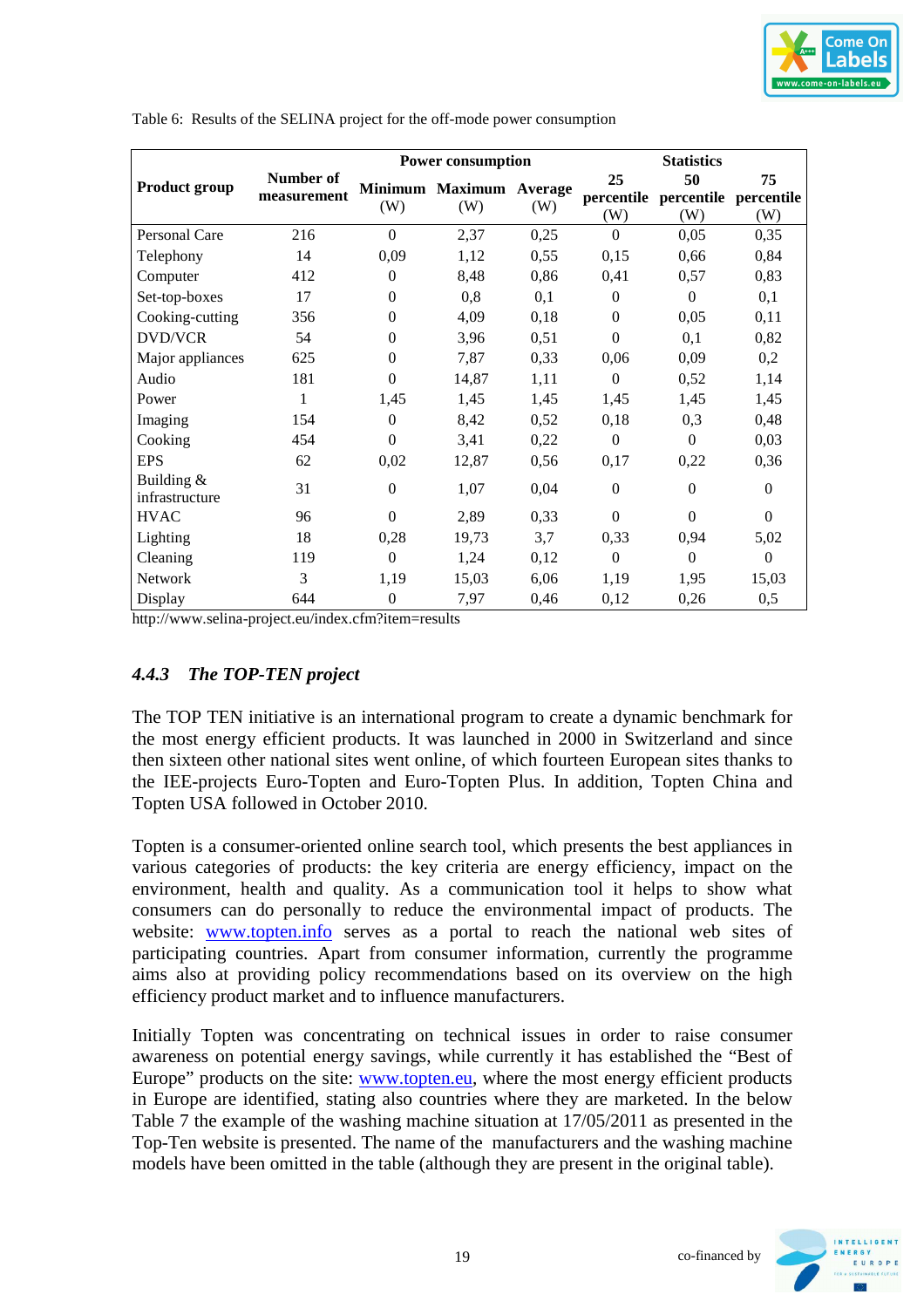

|                              |                          |                  | <b>Power consumption</b>       |      | <b>Statistics</b>       |                  |                                    |  |
|------------------------------|--------------------------|------------------|--------------------------------|------|-------------------------|------------------|------------------------------------|--|
| <b>Product group</b>         | Number of<br>measurement | (W)              | Minimum Maximum Average<br>(W) | (W)  | 25<br>percentile<br>(W) | 50<br>(W)        | 75<br>percentile percentile<br>(W) |  |
| Personal Care                | 216                      | $\theta$         | 2,37                           | 0,25 | $\theta$                | 0,05             | 0,35                               |  |
| Telephony                    | 14                       | 0,09             | 1,12                           | 0,55 | 0,15                    | 0,66             | 0,84                               |  |
| Computer                     | 412                      | $\mathbf{0}$     | 8,48                           | 0,86 | 0,41                    | 0,57             | 0,83                               |  |
| Set-top-boxes                | 17                       | $\Omega$         | 0,8                            | 0,1  | $\theta$                | $\boldsymbol{0}$ | 0,1                                |  |
| Cooking-cutting              | 356                      | $\Omega$         | 4,09                           | 0,18 | $\Omega$                | 0,05             | 0,11                               |  |
| <b>DVD/VCR</b>               | 54                       | $\mathbf{0}$     | 3,96                           | 0,51 | $\theta$                | 0,1              | 0,82                               |  |
| Major appliances             | 625                      | $\mathbf{0}$     | 7,87                           | 0,33 | 0,06                    | 0,09             | 0,2                                |  |
| Audio                        | 181                      | $\theta$         | 14,87                          | 1,11 | $\Omega$                | 0,52             | 1,14                               |  |
| Power                        | 1                        | 1,45             | 1,45                           | 1,45 | 1,45                    | 1,45             | 1,45                               |  |
| Imaging                      | 154                      | $\theta$         | 8,42                           | 0,52 | 0,18                    | 0,3              | 0,48                               |  |
| Cooking                      | 454                      | $\theta$         | 3,41                           | 0,22 | $\theta$                | $\boldsymbol{0}$ | 0,03                               |  |
| <b>EPS</b>                   | 62                       | 0,02             | 12,87                          | 0,56 | 0,17                    | 0,22             | 0,36                               |  |
| Building &<br>infrastructure | 31                       | $\boldsymbol{0}$ | 1,07                           | 0,04 | $\theta$                | $\boldsymbol{0}$ | $\theta$                           |  |
| <b>HVAC</b>                  | 96                       | $\boldsymbol{0}$ | 2,89                           | 0,33 | $\Omega$                | $\mathbf{0}$     | $\Omega$                           |  |
| Lighting                     | 18                       | 0,28             | 19,73                          | 3,7  | 0,33                    | 0,94             | 5,02                               |  |
| Cleaning                     | 119                      | $\theta$         | 1,24                           | 0,12 | $\Omega$                | $\theta$         | $\Omega$                           |  |
| Network                      | 3                        | 1,19             | 15,03                          | 6,06 | 1,19                    | 1,95             | 15,03                              |  |
| Display                      | 644                      | $\mathbf{0}$     | 7,97                           | 0,46 | 0,12                    | 0,26             | 0,5                                |  |

Table 6: Results of the SELINA project for the off-mode power consumption

http://www.selina-project.eu/index.cfm?item=results

#### *4.4.3 The TOP-TEN project*

The TOP TEN initiative is an international program to create a dynamic benchmark for the most energy efficient products. It was launched in 2000 in Switzerland and since then sixteen other national sites went online, of which fourteen European sites thanks to the IEE-projects Euro-Topten and Euro-Topten Plus. In addition, Topten China and Topten USA followed in October 2010.

Topten is a consumer-oriented online search tool, which presents the best appliances in various categories of products: the key criteria are energy efficiency, impact on the environment, health and quality. As a communication tool it helps to show what consumers can do personally to reduce the environmental impact of products. The website: www.topten.info serves as a portal to reach the national web sites of participating countries. Apart from consumer information, currently the programme aims also at providing policy recommendations based on its overview on the high efficiency product market and to influence manufacturers.

Initially Topten was concentrating on technical issues in order to raise consumer awareness on potential energy savings, while currently it has established the "Best of Europe" products on the site: www.topten.eu, where the most energy efficient products in Europe are identified, stating also countries where they are marketed. In the below Table 7 the example of the washing machine situation at 17/05/2011 as presented in the Top-Ten website is presented. The name of the manufacturers and the washing machine models have been omitted in the table (although they are present in the original table).

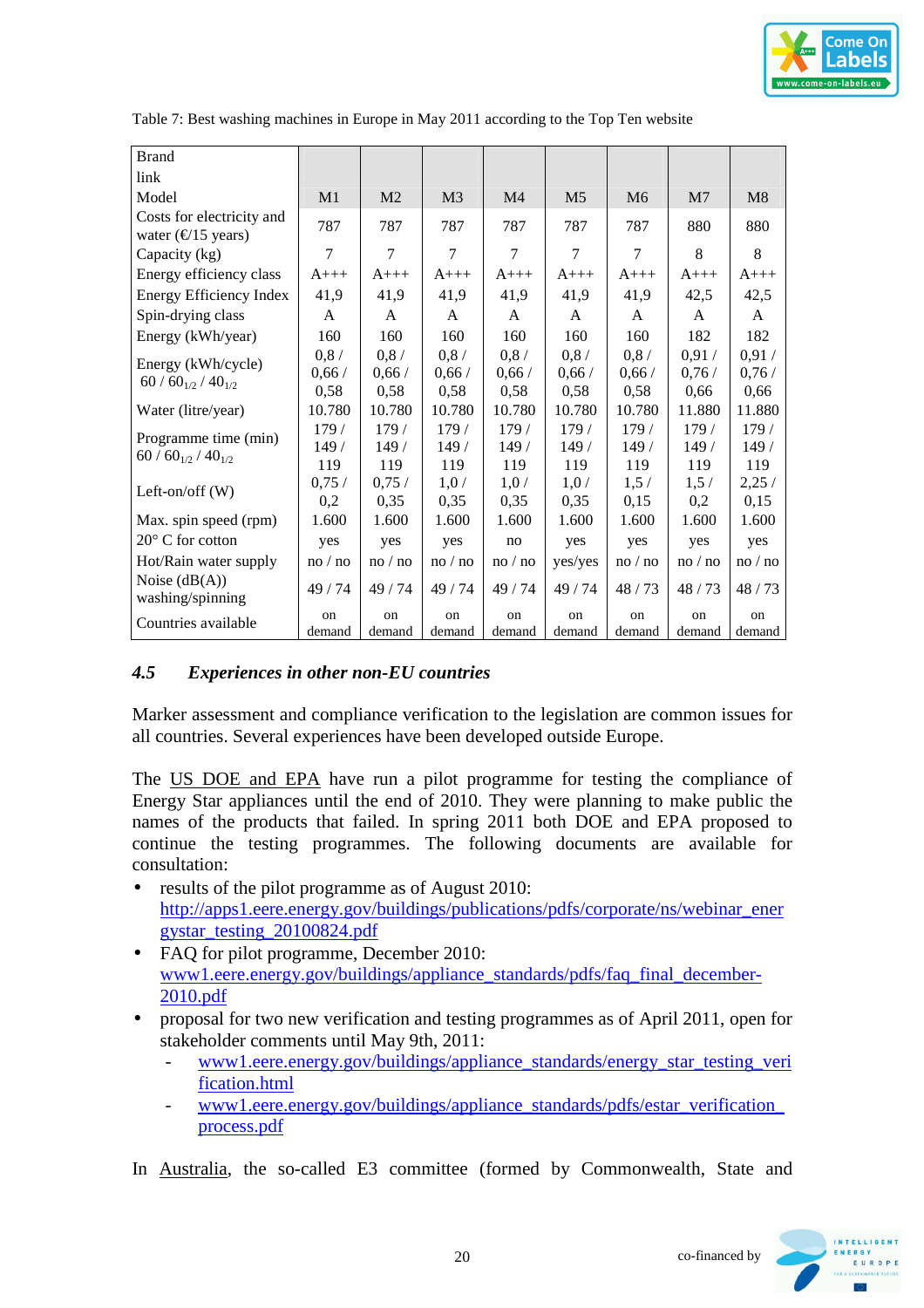

| <b>Brand</b>                                               |                |                |                |                |                |                |                |        |
|------------------------------------------------------------|----------------|----------------|----------------|----------------|----------------|----------------|----------------|--------|
| link                                                       |                |                |                |                |                |                |                |        |
| Model                                                      | M <sub>1</sub> | M <sub>2</sub> | M <sub>3</sub> | M <sub>4</sub> | M <sub>5</sub> | M <sub>6</sub> | M <sub>7</sub> | M8     |
| Costs for electricity and<br>water ( $\epsilon$ /15 years) | 787            | 787            | 787            | 787            | 787            | 787            | 880            | 880    |
| Capacity (kg)                                              | $\overline{7}$ | $\overline{7}$ | $\overline{7}$ | $\overline{7}$ | $\overline{7}$ | $\overline{7}$ | 8              | 8      |
| Energy efficiency class                                    | $A+++$         | $A+++$         | $A+++$         | $A+++$         | $A+++$         | $A+++$         | $A+++$         | $A+++$ |
| Energy Efficiency Index                                    | 41,9           | 41,9           | 41,9           | 41,9           | 41,9           | 41,9           | 42,5           | 42,5   |
| Spin-drying class                                          | A              | A              | $\mathsf{A}$   | A              | A              | A              | A              | A      |
| Energy (kWh/year)                                          | 160            | 160            | 160            | 160            | 160            | 160            | 182            | 182    |
| Energy (kWh/cycle)                                         | 0,8/           | 0,8/           | 0.8/           | 0,8/           | 0.8/           | 0.8/           | 0,91/          | 0,91/  |
| $60/60_{1/2}/40_{1/2}$                                     | 0,66/          | 0,66/          | 0,66/          | 0,66/          | 0,66/          | 0,66/          | 0,76/          | 0,76/  |
|                                                            | 0,58           | 0,58           | 0,58           | 0,58           | 0,58           | 0,58           | 0,66           | 0,66   |
| Water (litre/year)                                         | 10.780         | 10.780         | 10.780         | 10.780         | 10.780         | 10.780         | 11.880         | 11.880 |
| Programme time (min)                                       | 179 /          | 179 /          | 179 /          | 179 /          | 179 /          | 179 /          | 179 /          | 179 /  |
| 60 / 60 $_{1/2}$ / 40 $_{1/2}$                             | 149/           | 149/           | 149/           | 149 /          | 149/           | 149 /          | 149/           | 149 /  |
|                                                            | 119            | 119            | 119            | 119            | 119            | 119            | 119            | 119    |
| Left-on/off $(W)$                                          | 0,75/          | 0,75/          | 1,0/           | 1,0/           | 1,0/           | 1,5/           | 1,5/           | 2,25/  |
|                                                            | 0,2            | 0,35           | 0,35           | 0,35           | 0,35           | 0,15           | 0,2            | 0,15   |
| Max. spin speed (rpm)                                      | 1.600          | 1.600          | 1.600          | 1.600          | 1.600          | 1.600          | 1.600          | 1.600  |
| $20^{\circ}$ C for cotton                                  | yes            | yes            | yes            | no             | yes            | yes            | yes            | yes    |
| Hot/Rain water supply                                      | no/no          | no/no          | no/no          | no/no          | yes/yes        | no/no          | no/no          | no/no  |
| Noise $(dB(A))$<br>washing/spinning                        | 49/74          | 49/74          | 49/74          | 49/74          | 49/74          | 48/73          | 48/73          | 48/73  |
| Countries available                                        | on             | on             | on             | on             | <sub>on</sub>  | on             | $_{\rm on}$    | on     |
|                                                            | demand         | demand         | demand         | demand         | demand         | demand         | demand         | demand |

Table 7: Best washing machines in Europe in May 2011 according to the Top Ten website

## *4.5 Experiences in other non-EU countries*

Marker assessment and compliance verification to the legislation are common issues for all countries. Several experiences have been developed outside Europe.

The US DOE and EPA have run a pilot programme for testing the compliance of Energy Star appliances until the end of 2010. They were planning to make public the names of the products that failed. In spring 2011 both DOE and EPA proposed to continue the testing programmes. The following documents are available for consultation:

- results of the pilot programme as of August 2010: http://apps1.eere.energy.gov/buildings/publications/pdfs/corporate/ns/webinar\_ener gystar\_testing\_20100824.pdf
- FAO for pilot programme, December 2010: www1.eere.energy.gov/buildings/appliance\_standards/pdfs/faq\_final\_december-2010.pdf
- proposal for two new verification and testing programmes as of April 2011, open for stakeholder comments until May 9th, 2011:
	- www1.eere.energy.gov/buildings/appliance\_standards/energy\_star\_testing\_veri fication.html
	- www1.eere.energy.gov/buildings/appliance\_standards/pdfs/estar\_verification\_ process.pdf

In Australia, the so-called E3 committee (formed by Commonwealth, State and

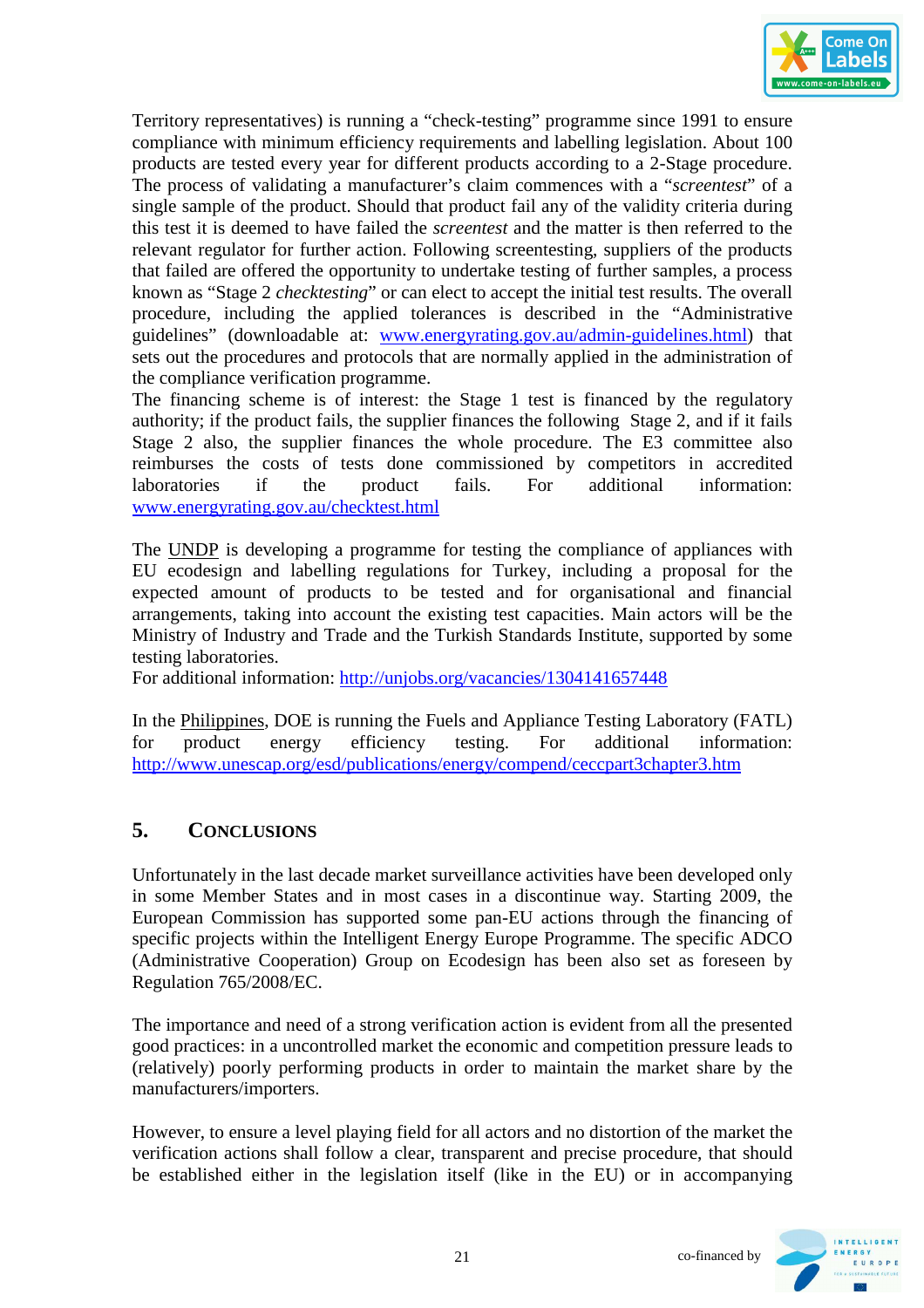

Territory representatives) is running a "check-testing" programme since 1991 to ensure compliance with minimum efficiency requirements and labelling legislation. About 100 products are tested every year for different products according to a 2-Stage procedure. The process of validating a manufacturer's claim commences with a "*screentest*" of a single sample of the product. Should that product fail any of the validity criteria during this test it is deemed to have failed the *screentest* and the matter is then referred to the relevant regulator for further action. Following screentesting, suppliers of the products that failed are offered the opportunity to undertake testing of further samples, a process known as "Stage 2 *checktesting*" or can elect to accept the initial test results. The overall procedure, including the applied tolerances is described in the "Administrative guidelines" (downloadable at: www.energyrating.gov.au/admin-guidelines.html) that sets out the procedures and protocols that are normally applied in the administration of the compliance verification programme.

The financing scheme is of interest: the Stage 1 test is financed by the regulatory authority; if the product fails, the supplier finances the following Stage 2, and if it fails Stage 2 also, the supplier finances the whole procedure. The E3 committee also reimburses the costs of tests done commissioned by competitors in accredited laboratories if the product fails. For additional information: www.energyrating.gov.au/checktest.html

The UNDP is developing a programme for testing the compliance of appliances with EU ecodesign and labelling regulations for Turkey, including a proposal for the expected amount of products to be tested and for organisational and financial arrangements, taking into account the existing test capacities. Main actors will be the Ministry of Industry and Trade and the Turkish Standards Institute, supported by some testing laboratories.

For additional information: http://unjobs.org/vacancies/1304141657448

In the Philippines, DOE is running the Fuels and Appliance Testing Laboratory (FATL) for product energy efficiency testing. For additional information: http://www.unescap.org/esd/publications/energy/compend/ceccpart3chapter3.htm

## **5. CONCLUSIONS**

Unfortunately in the last decade market surveillance activities have been developed only in some Member States and in most cases in a discontinue way. Starting 2009, the European Commission has supported some pan-EU actions through the financing of specific projects within the Intelligent Energy Europe Programme. The specific ADCO (Administrative Cooperation) Group on Ecodesign has been also set as foreseen by Regulation 765/2008/EC.

The importance and need of a strong verification action is evident from all the presented good practices: in a uncontrolled market the economic and competition pressure leads to (relatively) poorly performing products in order to maintain the market share by the manufacturers/importers.

However, to ensure a level playing field for all actors and no distortion of the market the verification actions shall follow a clear, transparent and precise procedure, that should be established either in the legislation itself (like in the EU) or in accompanying

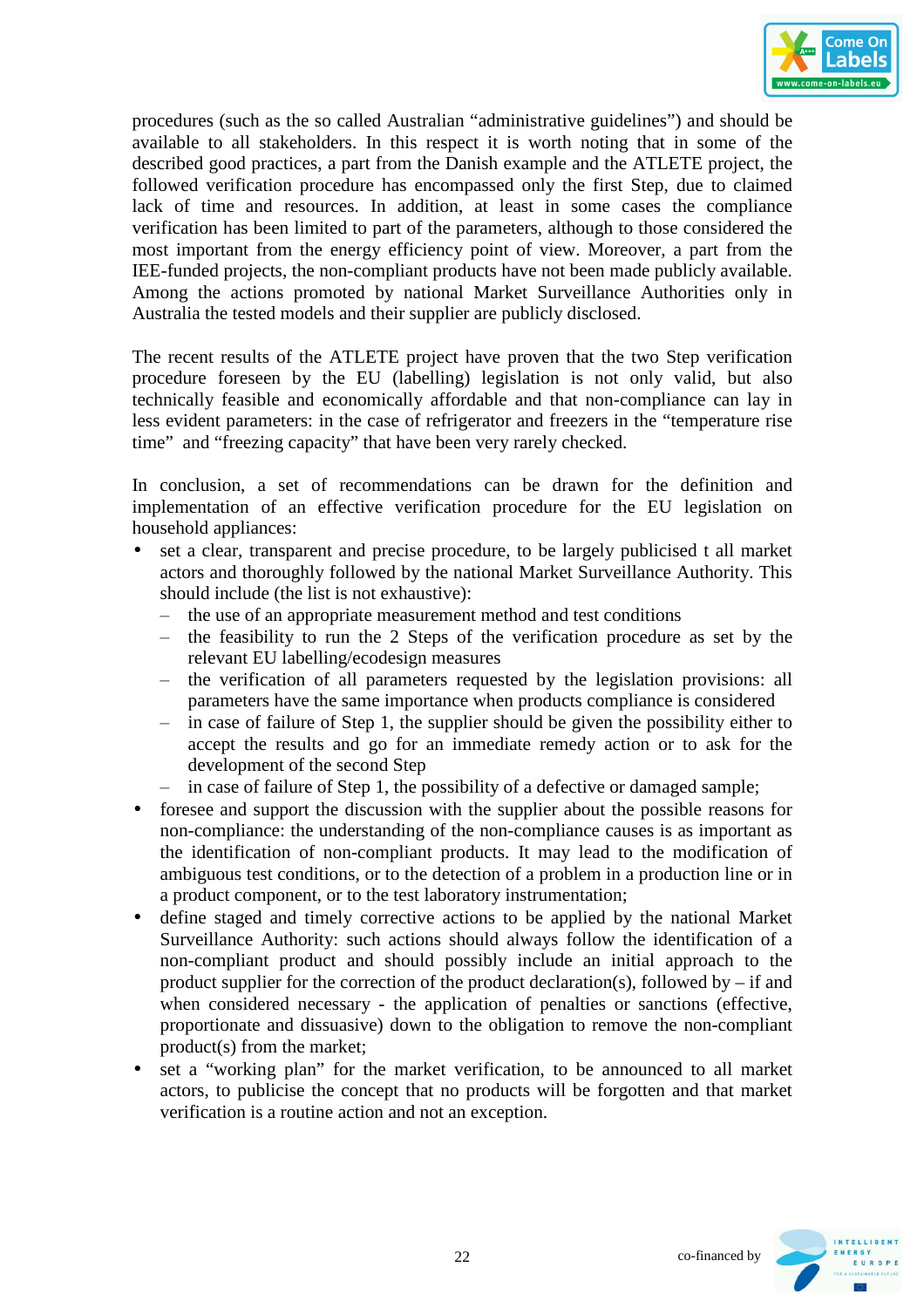

procedures (such as the so called Australian "administrative guidelines") and should be available to all stakeholders. In this respect it is worth noting that in some of the described good practices, a part from the Danish example and the ATLETE project, the followed verification procedure has encompassed only the first Step, due to claimed lack of time and resources. In addition, at least in some cases the compliance verification has been limited to part of the parameters, although to those considered the most important from the energy efficiency point of view. Moreover, a part from the IEE-funded projects, the non-compliant products have not been made publicly available. Among the actions promoted by national Market Surveillance Authorities only in Australia the tested models and their supplier are publicly disclosed.

The recent results of the ATLETE project have proven that the two Step verification procedure foreseen by the EU (labelling) legislation is not only valid, but also technically feasible and economically affordable and that non-compliance can lay in less evident parameters: in the case of refrigerator and freezers in the "temperature rise time" and "freezing capacity" that have been very rarely checked.

In conclusion, a set of recommendations can be drawn for the definition and implementation of an effective verification procedure for the EU legislation on household appliances:

- set a clear, transparent and precise procedure, to be largely publicised t all market actors and thoroughly followed by the national Market Surveillance Authority. This should include (the list is not exhaustive):
	- ‒ the use of an appropriate measurement method and test conditions
	- ‒ the feasibility to run the 2 Steps of the verification procedure as set by the relevant EU labelling/ecodesign measures
	- ‒ the verification of all parameters requested by the legislation provisions: all parameters have the same importance when products compliance is considered
	- $\overline{a}$  in case of failure of Step 1, the supplier should be given the possibility either to accept the results and go for an immediate remedy action or to ask for the development of the second Step
	- ‒ in case of failure of Step 1, the possibility of a defective or damaged sample;
- foresee and support the discussion with the supplier about the possible reasons for non-compliance: the understanding of the non-compliance causes is as important as the identification of non-compliant products. It may lead to the modification of ambiguous test conditions, or to the detection of a problem in a production line or in a product component, or to the test laboratory instrumentation;
- define staged and timely corrective actions to be applied by the national Market Surveillance Authority: such actions should always follow the identification of a non-compliant product and should possibly include an initial approach to the product supplier for the correction of the product declaration(s), followed by  $-$  if and when considered necessary - the application of penalties or sanctions (effective, proportionate and dissuasive) down to the obligation to remove the non-compliant product(s) from the market;
- set a "working plan" for the market verification, to be announced to all market actors, to publicise the concept that no products will be forgotten and that market verification is a routine action and not an exception.